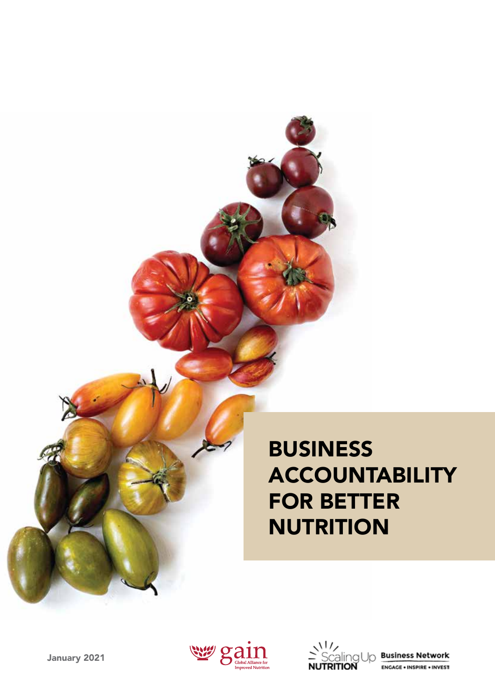## BUSINESS **ACCOUNTABILITY** FOR BETTER **NUTRITION**



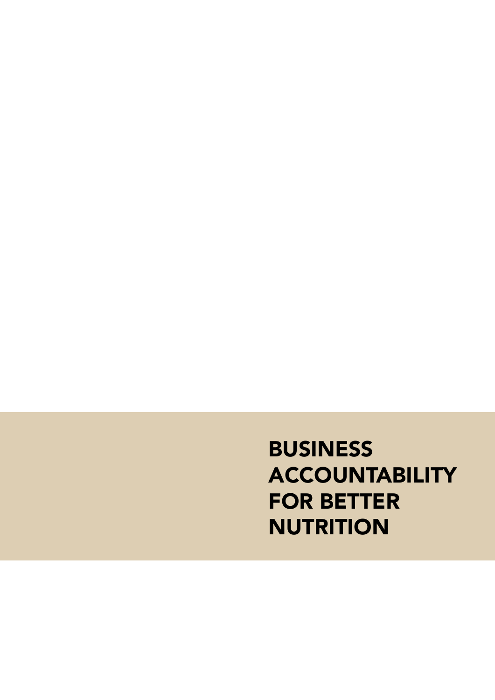**BUSINESS ACCOUNTABILITY** FOR BETTER **NUTRITION**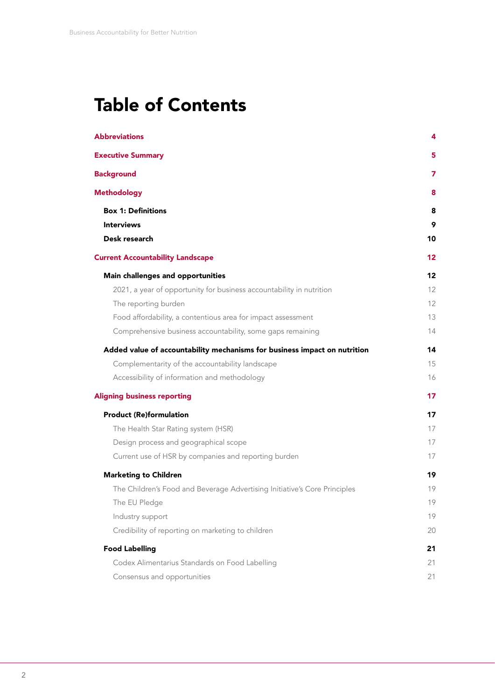## Table of Contents

| <b>Abbreviations</b>                                                      | 4  |
|---------------------------------------------------------------------------|----|
| <b>Executive Summary</b>                                                  | 5  |
| <b>Background</b>                                                         | 7  |
| <b>Methodology</b>                                                        | 8  |
| <b>Box 1: Definitions</b>                                                 | 8  |
| <b>Interviews</b>                                                         | 9  |
| Desk research                                                             | 10 |
| <b>Current Accountability Landscape</b>                                   | 12 |
| Main challenges and opportunities                                         | 12 |
| 2021, a year of opportunity for business accountability in nutrition      | 12 |
| The reporting burden                                                      | 12 |
| Food affordability, a contentious area for impact assessment              | 13 |
| Comprehensive business accountability, some gaps remaining                | 14 |
| Added value of accountability mechanisms for business impact on nutrition | 14 |
| Complementarity of the accountability landscape                           | 15 |
| Accessibility of information and methodology                              | 16 |
| <b>Aligning business reporting</b>                                        | 17 |
| <b>Product (Re)formulation</b>                                            | 17 |
| The Health Star Rating system (HSR)                                       | 17 |
| Design process and geographical scope                                     | 17 |
| Current use of HSR by companies and reporting burden                      | 17 |
| <b>Marketing to Children</b>                                              | 19 |
| The Children's Food and Beverage Advertising Initiative's Core Principles | 19 |
| The EU Pledge                                                             | 19 |
| Industry support                                                          | 19 |
| Credibility of reporting on marketing to children                         | 20 |
| <b>Food Labelling</b>                                                     | 21 |
| Codex Alimentarius Standards on Food Labelling                            | 21 |
| Consensus and opportunities                                               | 21 |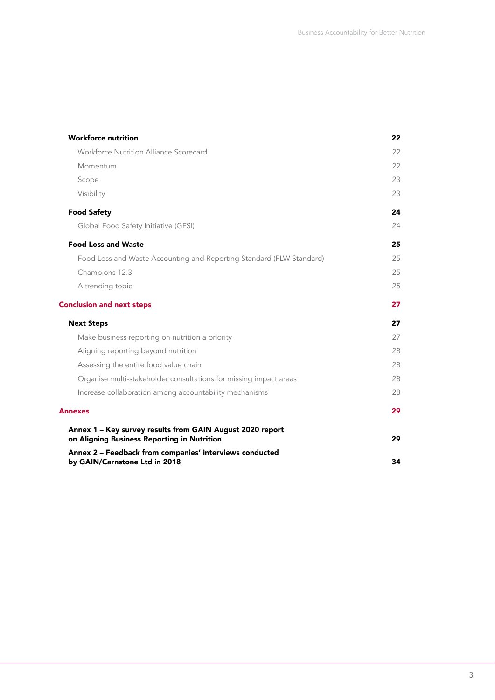| <b>Workforce nutrition</b>                                                                               | 22 |
|----------------------------------------------------------------------------------------------------------|----|
| Workforce Nutrition Alliance Scorecard                                                                   | 22 |
| Momentum                                                                                                 | 22 |
| Scope                                                                                                    | 23 |
| Visibility                                                                                               | 23 |
| <b>Food Safety</b>                                                                                       | 24 |
| Global Food Safety Initiative (GFSI)                                                                     | 24 |
| <b>Food Loss and Waste</b>                                                                               | 25 |
| Food Loss and Waste Accounting and Reporting Standard (FLW Standard)                                     | 25 |
| Champions 12.3                                                                                           | 25 |
| A trending topic                                                                                         | 25 |
| <b>Conclusion and next steps</b>                                                                         | 27 |
| <b>Next Steps</b>                                                                                        | 27 |
| Make business reporting on nutrition a priority                                                          | 27 |
| Aligning reporting beyond nutrition                                                                      | 28 |
| Assessing the entire food value chain                                                                    | 28 |
| Organise multi-stakeholder consultations for missing impact areas                                        | 28 |
| Increase collaboration among accountability mechanisms                                                   | 28 |
| Annexes                                                                                                  | 29 |
| Annex 1 - Key survey results from GAIN August 2020 report<br>on Aligning Business Reporting in Nutrition | 29 |
| Annex 2 - Feedback from companies' interviews conducted<br>by GAIN/Carnstone Ltd in 2018                 | 34 |
|                                                                                                          |    |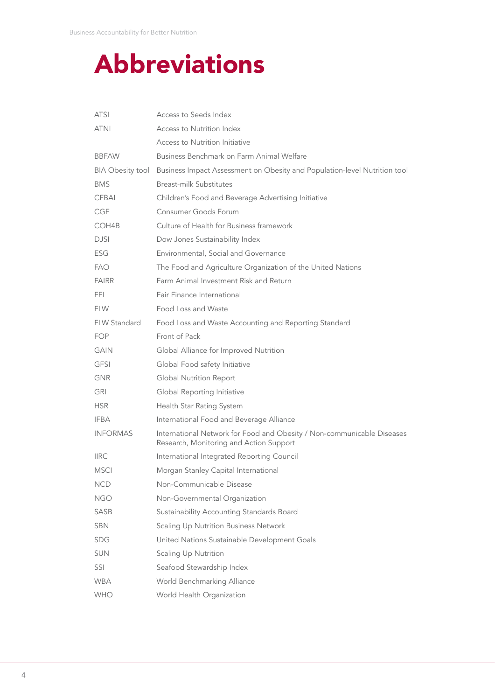# Abbreviations

| ATSI                    | Access to Seeds Index                                                                                             |
|-------------------------|-------------------------------------------------------------------------------------------------------------------|
| <b>ATNI</b>             | Access to Nutrition Index                                                                                         |
|                         | Access to Nutrition Initiative                                                                                    |
| <b>BBFAW</b>            | Business Benchmark on Farm Animal Welfare                                                                         |
| <b>BIA Obesity tool</b> | Business Impact Assessment on Obesity and Population-level Nutrition tool                                         |
| <b>BMS</b>              | <b>Breast-milk Substitutes</b>                                                                                    |
| <b>CFBAI</b>            | Children's Food and Beverage Advertising Initiative                                                               |
| CGF                     | Consumer Goods Forum                                                                                              |
| COH4B                   | Culture of Health for Business framework                                                                          |
| <b>DJSI</b>             | Dow Jones Sustainability Index                                                                                    |
| ESG                     | Environmental, Social and Governance                                                                              |
| FAO.                    | The Food and Agriculture Organization of the United Nations                                                       |
| <b>FAIRR</b>            | Farm Animal Investment Risk and Return                                                                            |
| FFI.                    | Fair Finance International                                                                                        |
| <b>FLW</b>              | Food Loss and Waste                                                                                               |
| FLW Standard            | Food Loss and Waste Accounting and Reporting Standard                                                             |
| <b>FOP</b>              | Front of Pack                                                                                                     |
| <b>GAIN</b>             | Global Alliance for Improved Nutrition                                                                            |
| GFSI                    | Global Food safety Initiative                                                                                     |
| <b>GNR</b>              | Global Nutrition Report                                                                                           |
| <b>GRI</b>              | Global Reporting Initiative                                                                                       |
| <b>HSR</b>              | Health Star Rating System                                                                                         |
| <b>IFBA</b>             | International Food and Beverage Alliance                                                                          |
| <b>INFORMAS</b>         | International Network for Food and Obesity / Non-communicable Diseases<br>Research, Monitoring and Action Support |
| <b>IIRC</b>             | International Integrated Reporting Council                                                                        |
| <b>MSCI</b>             | Morgan Stanley Capital International                                                                              |
| <b>NCD</b>              | Non-Communicable Disease                                                                                          |
| <b>NGO</b>              | Non-Governmental Organization                                                                                     |
| SASB                    | Sustainability Accounting Standards Board                                                                         |
| <b>SBN</b>              | <b>Scaling Up Nutrition Business Network</b>                                                                      |
| SDG                     | United Nations Sustainable Development Goals                                                                      |
| <b>SUN</b>              | <b>Scaling Up Nutrition</b>                                                                                       |
| SSI                     | Seafood Stewardship Index                                                                                         |
| <b>WBA</b>              | World Benchmarking Alliance                                                                                       |
| <b>WHO</b>              | World Health Organization                                                                                         |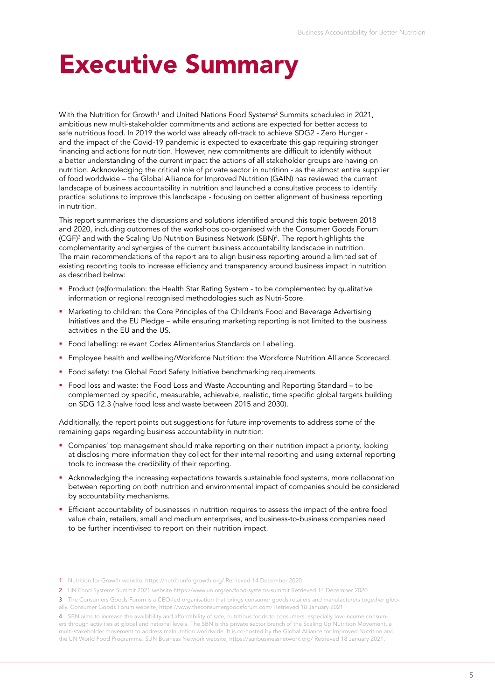## Executive Summary

With the Nutrition for Growth $^{\rm 1}$  and United Nations Food Systems $^{\rm 2}$  Summits scheduled in 2021, ambitious new multi-stakeholder commitments and actions are expected for better access to safe nutritious food. In 2019 the world was already off-track to achieve SDG2 - Zero Hunger and the impact of the Covid-19 pandemic is expected to exacerbate this gap requiring stronger financing and actions for nutrition. However, new commitments are difficult to identify without a better understanding of the current impact the actions of all stakeholder groups are having on nutrition. Acknowledging the critical role of private sector in nutrition - as the almost entire supplier of food worldwide – the Global Alliance for Improved Nutrition (GAIN) has reviewed the current landscape of business accountability in nutrition and launched a consultative process to identify practical solutions to improve this landscape - focusing on better alignment of business reporting in nutrition.

This report summarises the discussions and solutions identified around this topic between 2018 and 2020, including outcomes of the workshops co-organised with the Consumer Goods Forum (CGF)<sup>3</sup> and with the Scaling Up Nutrition Business Network (SBN)<sup>4</sup>. The report highlights the complementarity and synergies of the current business accountability landscape in nutrition. The main recommendations of the report are to align business reporting around a limited set of existing reporting tools to increase efficiency and transparency around business impact in nutrition as described below:

- Product (re)formulation: the Health Star Rating System to be complemented by qualitative information or regional recognised methodologies such as Nutri-Score.
- Marketing to children: the Core Principles of the Children's Food and Beverage Advertising Initiatives and the EU Pledge – while ensuring marketing reporting is not limited to the business activities in the EU and the US.
- **Food labelling: relevant Codex Alimentarius Standards on Labelling.**
- Employee health and wellbeing/Workforce Nutrition: the Workforce Nutrition Alliance Scorecard.
- **Food safety: the Global Food Safety Initiative benchmarking requirements.**
- Food loss and waste: the Food Loss and Waste Accounting and Reporting Standard to be complemented by specific, measurable, achievable, realistic, time specific global targets building on SDG 12.3 (halve food loss and waste between 2015 and 2030).

Additionally, the report points out suggestions for future improvements to address some of the remaining gaps regarding business accountability in nutrition:

- Companies' top management should make reporting on their nutrition impact a priority, looking at disclosing more information they collect for their internal reporting and using external reporting tools to increase the credibility of their reporting.
- Acknowledging the increasing expectations towards sustainable food systems, more collaboration between reporting on both nutrition and environmental impact of companies should be considered by accountability mechanisms.
- **Efficient accountability of businesses in nutrition requires to assess the impact of the entire food** value chain, retailers, small and medium enterprises, and business-to-business companies need to be further incentivised to report on their nutrition impact.

<sup>1</sup> Nutrition for Growth website, [https://nutritionforgrowth.org/](https://nutritionforgrowth.org) Retrieved 14 December 2020

<sup>2</sup> UN Food Systems Summit 2021 website <https://www.un.org/en/food-systems-summit>Retrieved 14 December 2020

<sup>3</sup> The Consumers Goods Forum is a CEO-led organisation that brings consumer goods retailers and manufacturers together globally. Consumer Goods Forum website, [https://www.theconsumergoodsforum.com/](https://www.theconsumergoodsforum.com) Retrieved 18 January 2021.

<sup>4</sup> SBN aims to increase the availability and affordability of safe, nutritious foods to consumers, especially low-income consumers through activities at global and national levels. The SBN is the private sector branch of the Scaling Up Nutrition Movement, a multi-stakeholder movement to address malnutrition worldwide. It is co-hosted by the Global Alliance for Improved Nutrition and the UN World Food Programme. SUN Business Network website, [https://sunbusinessnetwork.org/](https://sunbusinessnetwork.org) Retrieved 18 January 2021.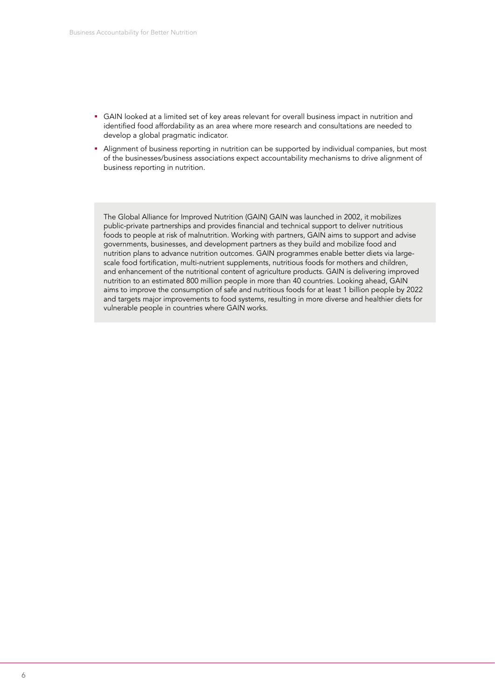- GAIN looked at a limited set of key areas relevant for overall business impact in nutrition and identified food affordability as an area where more research and consultations are needed to develop a global pragmatic indicator.
- Alignment of business reporting in nutrition can be supported by individual companies, but most of the businesses/business associations expect accountability mechanisms to drive alignment of business reporting in nutrition.

The Global Alliance for Improved Nutrition (GAIN) GAIN was launched in 2002, it mobilizes public-private partnerships and provides financial and technical support to deliver nutritious foods to people at risk of malnutrition. Working with partners, GAIN aims to support and advise governments, businesses, and development partners as they build and mobilize food and nutrition plans to advance nutrition outcomes. GAIN programmes enable better diets via largescale food fortification, multi-nutrient supplements, nutritious foods for mothers and children, and enhancement of the nutritional content of agriculture products. GAIN is delivering improved nutrition to an estimated 800 million people in more than 40 countries. Looking ahead, GAIN aims to improve the consumption of safe and nutritious foods for at least 1 billion people by 2022 and targets major improvements to food systems, resulting in more diverse and healthier diets for vulnerable people in countries where GAIN works.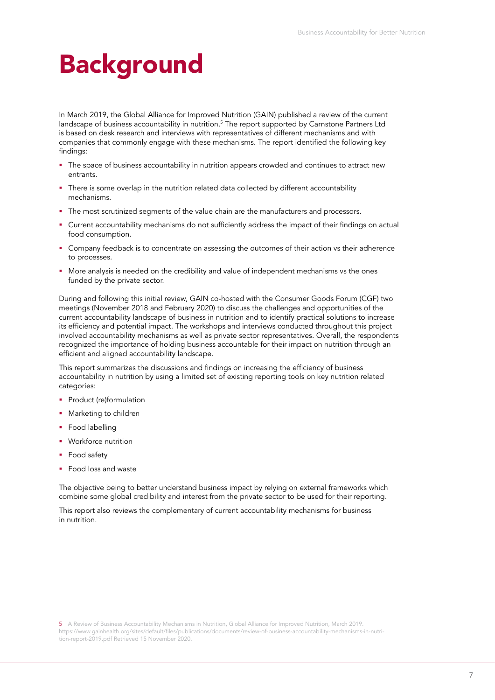# Background

In March 2019, the Global Alliance for Improved Nutrition (GAIN) published a review of the current landscape of business accountability in nutrition.<sup>5</sup> The report supported by Carnstone Partners Ltd is based on desk research and interviews with representatives of different mechanisms and with companies that commonly engage with these mechanisms. The report identified the following key findings:

- The space of business accountability in nutrition appears crowded and continues to attract new entrants.
- **There is some overlap in the nutrition related data collected by different accountability** mechanisms.
- The most scrutinized segments of the value chain are the manufacturers and processors.
- Current accountability mechanisms do not sufficiently address the impact of their findings on actual food consumption.
- Company feedback is to concentrate on assessing the outcomes of their action vs their adherence to processes.
- More analysis is needed on the credibility and value of independent mechanisms vs the ones funded by the private sector.

During and following this initial review, GAIN co-hosted with the Consumer Goods Forum (CGF) two meetings (November 2018 and February 2020) to discuss the challenges and opportunities of the current accountability landscape of business in nutrition and to identify practical solutions to increase its efficiency and potential impact. The workshops and interviews conducted throughout this project involved accountability mechanisms as well as private sector representatives. Overall, the respondents recognized the importance of holding business accountable for their impact on nutrition through an efficient and aligned accountability landscape.

This report summarizes the discussions and findings on increasing the efficiency of business accountability in nutrition by using a limited set of existing reporting tools on key nutrition related categories:

- **Product (re)formulation**
- **Marketing to children**
- **Food labelling**
- **Workforce nutrition**
- Food safety
- **Food loss and waste**

The objective being to better understand business impact by relying on external frameworks which combine some global credibility and interest from the private sector to be used for their reporting.

This report also reviews the complementary of current accountability mechanisms for business in nutrition.

5 A Review of Business Accountability Mechanisms in Nutrition, Global Alliance for Improved Nutrition, March 2019. [https://www.gainhealth.org/sites/default/files/publications/documents/review-of-business-accountability-mechanisms-in-nutri](https://www.gainhealth.org/sites/default/files/publications/documents/review-of-business-accountability-mechanisms-in-nutrition-report-2019.pdf)[tion-report-2019.pdf](https://www.gainhealth.org/sites/default/files/publications/documents/review-of-business-accountability-mechanisms-in-nutrition-report-2019.pdf) Retrieved 15 November 2020.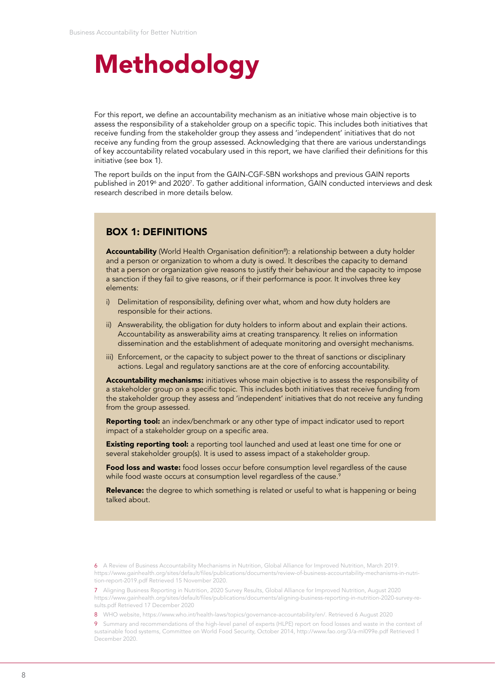## Methodology

For this report, we define an accountability mechanism as an initiative whose main objective is to assess the responsibility of a stakeholder group on a specific topic. This includes both initiatives that receive funding from the stakeholder group they assess and 'independent' initiatives that do not receive any funding from the group assessed. Acknowledging that there are various understandings of key accountability related vocabulary used in this report, we have clarified their definitions for this initiative (see box 1).

The report builds on the input from the GAIN-CGF-SBN workshops and previous GAIN reports published in 2019<sup>6</sup> and 2020<sup>7</sup>. To gather additional information, GAIN conducted interviews and desk research described in more details below.

## BOX 1: DEFINITIONS

**Accountability** (World Health Organisation definition<sup>8</sup>): a relationship between a duty holder and a person or organization to whom a duty is owed. It describes the capacity to demand that a person or organization give reasons to justify their behaviour and the capacity to impose a sanction if they fail to give reasons, or if their performance is poor. It involves three key elements:

- i) Delimitation of responsibility, defining over what, whom and how duty holders are responsible for their actions.
- ii) Answerability, the obligation for duty holders to inform about and explain their actions. Accountability as answerability aims at creating transparency. It relies on information dissemination and the establishment of adequate monitoring and oversight mechanisms.
- iii) Enforcement, or the capacity to subject power to the threat of sanctions or disciplinary actions. Legal and regulatory sanctions are at the core of enforcing accountability.

Accountability mechanisms: initiatives whose main objective is to assess the responsibility of a stakeholder group on a specific topic. This includes both initiatives that receive funding from the stakeholder group they assess and 'independent' initiatives that do not receive any funding from the group assessed.

Reporting tool: an index/benchmark or any other type of impact indicator used to report impact of a stakeholder group on a specific area.

**Existing reporting tool:** a reporting tool launched and used at least one time for one or several stakeholder group(s). It is used to assess impact of a stakeholder group.

Food loss and waste: food losses occur before consumption level regardless of the cause while food waste occurs at consumption level regardless of the cause.<sup>9</sup>

Relevance: the degree to which something is related or useful to what is happening or being talked about.

6 A Review of Business Accountability Mechanisms in Nutrition, Global Alliance for Improved Nutrition, March 2019. [https://www.gainhealth.org/sites/default/files/publications/documents/review-of-business-accountability-mechanisms-in-nutri](https://www.gainhealth.org/sites/default/files/publications/documents/review-of-business-accountability-mechanisms-in-nutrition-report-2019.pdf)[tion-report-2019.pdf](https://www.gainhealth.org/sites/default/files/publications/documents/review-of-business-accountability-mechanisms-in-nutrition-report-2019.pdf) Retrieved 15 November 2020.

7 Aligning Business Reporting in Nutrition, 2020 Survey Results, Global Alliance for Improved Nutrition, August 2020 [https://www.gainhealth.org/sites/default/files/publications/documents/aligning-business-reporting-in-nutrition-2020-survey-re](https://www.gainhealth.org/sites/default/files/publications/documents/aligning-business-reporting-in-nutrition-2020-survey-results.pdf)[sults.pdf](https://www.gainhealth.org/sites/default/files/publications/documents/aligning-business-reporting-in-nutrition-2020-survey-results.pdf) Retrieved 17 December 2020

8 WHO website, [https://www.who.int/health-laws/topics/governance-accountability/en/](https://www.who.int/health-laws/topics/governance-accountability/en). Retrieved 6 August 2020

9 Summary and recommendations of the high-level panel of experts (HLPE) report on food losses and waste in the context of sustainable food systems, Committee on World Food Security, October 2014, [http://www.fao.org/3/a-ml099e.pdf Retrieved 1](http://www.fao.org/3/a-ml099e.pdf)  [December 2020.](http://www.fao.org/3/a-ml099e.pdf)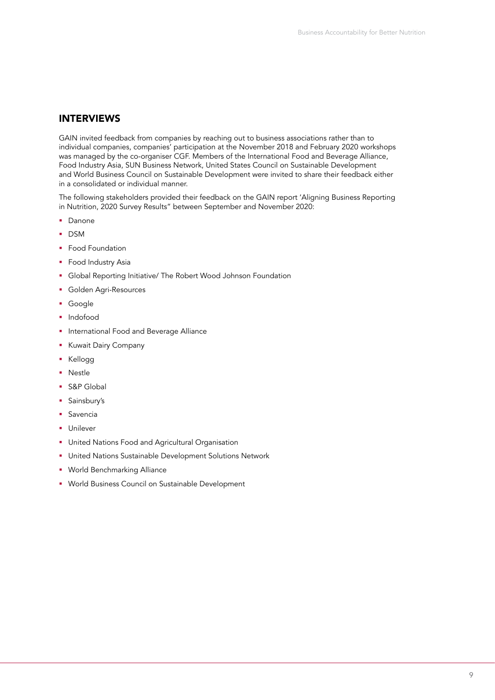## INTERVIEWS

GAIN invited feedback from companies by reaching out to business associations rather than to individual companies, companies' participation at the November 2018 and February 2020 workshops was managed by the co-organiser CGF. Members of the International Food and Beverage Alliance, Food Industry Asia, SUN Business Network, United States Council on Sustainable Development and World Business Council on Sustainable Development were invited to share their feedback either in a consolidated or individual manner.

The following stakeholders provided their feedback on the GAIN report 'Aligning Business Reporting in Nutrition, 2020 Survey Results" between September and November 2020:

- **Danone**
- **DSM**
- **Food Foundation**
- **Food Industry Asia**
- Global Reporting Initiative/ The Robert Wood Johnson Foundation
- Golden Agri-Resources
- **Google**
- **Indofood**
- **International Food and Beverage Alliance**
- **Kuwait Dairy Company**
- **Kellogg**
- **Nestle**
- S&P Global
- **Sainsbury's**
- **Savencia**
- Unilever
- United Nations Food and Agricultural Organisation
- United Nations Sustainable Development Solutions Network
- **World Benchmarking Alliance**
- **World Business Council on Sustainable Development**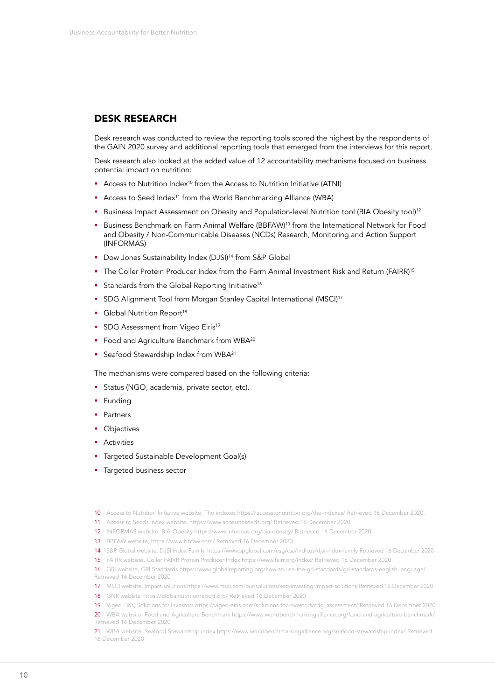### DESK RESEARCH

Desk research was conducted to review the reporting tools scored the highest by the respondents of the GAIN 2020 survey and additional reporting tools that emerged from the interviews for this report.

Desk research also looked at the added value of 12 accountability mechanisms focused on business potential impact on nutrition:

- **Access to Nutrition Index<sup>10</sup> from the Access to Nutrition Initiative (ATNI)**
- Access to Seed Index<sup>11</sup> from the World Benchmarking Alliance (WBA)
- Business Impact Assessment on Obesity and Population-level Nutrition tool (BIA Obesity tool)<sup>12</sup>
- **Business Benchmark on Farm Animal Welfare (BBFAW)<sup>13</sup> from the International Network for Food** and Obesity / Non-Communicable Diseases (NCDs) Research, Monitoring and Action Support (INFORMAS)
- Dow Jones Sustainability Index (DJSI)<sup>14</sup> from S&P Global
- **The Coller Protein Producer Index from the Farm Animal Investment Risk and Return (FAIRR)<sup>15</sup>**
- **Standards from the Global Reporting Initiative<sup>16</sup>**
- SDG Alignment Tool from Morgan Stanley Capital International (MSCI)<sup>17</sup>
- Global Nutrition Report<sup>18</sup>
- SDG Assessment from Vigeo Eiris<sup>19</sup>
- **Food and Agriculture Benchmark from WBA**<sup>20</sup>
- **Seafood Stewardship Index from WBA**<sup>21</sup>

The mechanisms were compared based on the following criteria:

- **Status (NGO, academia, private sector, etc).**
- Funding
- **•** Partners
- Objectives
- **Activities**
- Targeted Sustainable Development Goal(s)
- **Targeted business sector**
- 10 Access to Nutrition Initiative website, The indexes <https://accesstonutrition.org/the-indexes/>Retrieved 16 December 2020.
- 11 Access to Seeds Index website, [https://www.accesstoseeds.org/](https://www.accesstoseeds.org) Retrieved 16 December 2020.
- 12 INFORMAS website, BIA-Obesity <https://www.informas.org/bia-obesity/>Retrieved 16 December 2020.
- 13 BBFAW website, [https://www.bbfaw.com/](https://www.bbfaw.com) Retrieved 16 December 2020
- 14 S&P Global website, DJSI Index Family,<https://www.spglobal.com/esg/csa/indices/djsi-index-family>Retrieved 16 December 2020
- 15 FAIRR website, Coller FAIRR Protein Producer Index <https://www.fairr.org/index/>Retrieved 16 December 2020
- 16 GRI website, GRI Standards <https://www.globalreporting.org/how-to-use-the-gri-standards/gri-standards-english-language/> Retrieved 16 December 2020
- 17 MSCI website, Impact solutions [https://www.msci.com/our-solutions/esg-investing/impact-solutions](MSCI website, Impact solutions https://www.msci.com/our-solutions/esg-investing/impact-solutions Retrieved 16 December 2020) Retrieved 16 December 2020
- 18 GNR website [https://globalnutritionreport.org/](https://globalnutritionreport.org) Retrieved 16 December 2020
- 19 Vigeo Eiris, Solutions for investors [https://vigeo-eiris.com/solutions-for-investors/sdg\\_assessment/](https://vigeo-eiris.com/solutions-for-investors/sdg_assessment/) Retrieved 16 December 2020
- 20 WBA website, Food and Agriculture Benchmark<https://www.worldbenchmarkingalliance.org/food-and-agriculture-benchmark/> Retrieved 16 December 2020
- 21 WBA website, Seafood Stewardship index<https://www.worldbenchmarkingalliance.org/seafood-stewardship-index/>Retrieved 16 December 2020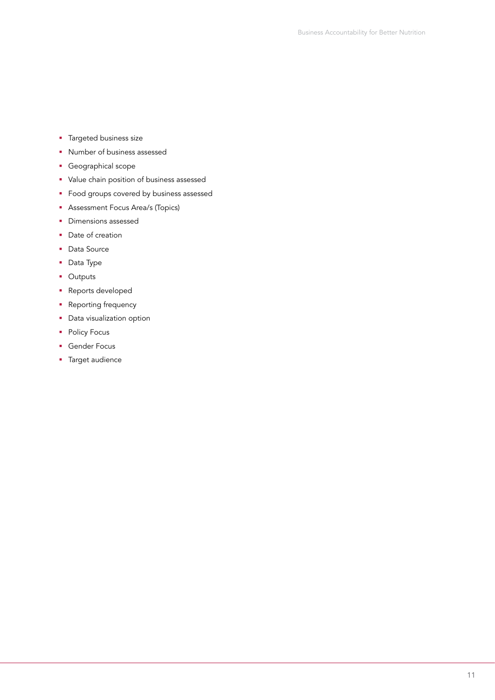- **Targeted business size**
- **Number of business assessed**
- Geographical scope
- Value chain position of business assessed
- **Food groups covered by business assessed**
- **Assessment Focus Area/s (Topics)**
- **Dimensions assessed**
- Date of creation
- Data Source
- Data Type
- **•** Outputs
- **Reports developed**
- **Reporting frequency**
- **•** Data visualization option
- Policy Focus
- Gender Focus
- **Target audience**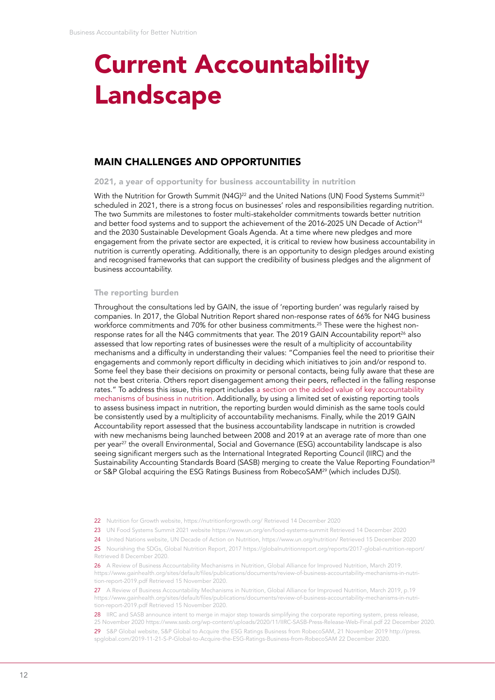# Current Accountability Landscape

### MAIN CHALLENGES AND OPPORTUNITIES

#### 2021, a year of opportunity for business accountability in nutrition

With the Nutrition for Growth Summit (N4G)<sup>22</sup> and the United Nations (UN) Food Systems Summit<sup>23</sup> scheduled in 2021, there is a strong focus on businesses' roles and responsibilities regarding nutrition. The two Summits are milestones to foster multi-stakeholder commitments towards better nutrition and better food systems and to support the achievement of the 2016-2025 UN Decade of Action<sup>24</sup> and the 2030 Sustainable Development Goals Agenda. At a time where new pledges and more engagement from the private sector are expected, it is critical to review how business accountability in nutrition is currently operating. Additionally, there is an opportunity to design pledges around existing and recognised frameworks that can support the credibility of business pledges and the alignment of business accountability.

#### The reporting burden

Throughout the consultations led by GAIN, the issue of 'reporting burden' was regularly raised by companies. In 2017, the Global Nutrition Report shared non-response rates of 66% for N4G business workforce commitments and 70% for other business commitments.<sup>25</sup> These were the highest nonresponse rates for all the N4G commitments that year. The 2019 GAIN Accountability report<sup>26</sup> also assessed that low reporting rates of businesses were the result of a multiplicity of accountability mechanisms and a difficulty in understanding their values: "Companies feel the need to prioritise their engagements and commonly report difficulty in deciding which initiatives to join and/or respond to. Some feel they base their decisions on proximity or personal contacts, being fully aware that these are not the best criteria. Others report disengagement among their peers, reflected in the falling response rates." To address this issue, this report includes [a section on the added value of key accountability](#page-15-0)  [mechanisms of business in nutrition.](#page-15-0) Additionally, by using a limited set of existing reporting tools to assess business impact in nutrition, the reporting burden would diminish as the same tools could be consistently used by a multiplicity of accountability mechanisms. Finally, while the 2019 GAIN Accountability report assessed that the business accountability landscape in nutrition is crowded with new mechanisms being launched between 2008 and 2019 at an average rate of more than one per year<sup>27</sup> the overall Environmental, Social and Governance (ESG) accountability landscape is also seeing significant mergers such as the International Integrated Reporting Council (IIRC) and the Sustainability Accounting Standards Board (SASB) merging to create the Value Reporting Foundation<sup>28</sup> or S&P Global acquiring the ESG Ratings Business from RobecoSAM<sup>29</sup> (which includes DJSI).

- 22 Nutrition for Growth website, [https://nutritionforgrowth.org/](https://nutritionforgrowth.org) Retrieved 14 December 2020
- 23 UN Food Systems Summit 2021 website<https://www.un.org/en/food-systems-summit>Retrieved 14 December 2020
- 24 United Nations website, UN Decade of Action on Nutrition,<https://www.un.org/nutrition/>Retrieved 15 December 2020
- 25 Nourishing the SDGs, Global Nutrition Report, 2017 <https://globalnutritionreport.org/reports/2017-global-nutrition-report/> Retrieved 8 December 2020.

26 A Review of Business Accountability Mechanisms in Nutrition, Global Alliance for Improved Nutrition, March 2019. [https://www.gainhealth.org/sites/default/files/publications/documents/review-of-business-accountability-mechanisms-in-nutri](https://www.gainhealth.org/sites/default/files/publications/documents/review-of-business-accountability-mechanisms-in-nutrition-report-2019.pdf)[tion-report-2019.pdf](https://www.gainhealth.org/sites/default/files/publications/documents/review-of-business-accountability-mechanisms-in-nutrition-report-2019.pdf) Retrieved 15 November 2020.

27 A Review of Business Accountability Mechanisms in Nutrition, Global Alliance for Improved Nutrition, March 2019, p.19 [https://www.gainhealth.org/sites/default/files/publications/documents/review-of-business-accountability-mechanisms-in-nutri](https://www.gainhealth.org/sites/default/files/publications/documents/review-of-business-accountability-mechanisms-in-nutrition-report-2019.pdf)[tion-report-2019.pdf](https://www.gainhealth.org/sites/default/files/publications/documents/review-of-business-accountability-mechanisms-in-nutrition-report-2019.pdf) Retrieved 15 November 2020.

28 IIRC and SASB announce intent to merge in major step towards simplifying the corporate reporting system, press release, 25 November 2020 <https://www.sasb.org/wp-content/uploads/2020/11/IIRC-SASB-Press-Release-Web-Final.pdf> 22 December 2020.

29 S&P Global website, S&P Global to Acquire the ESG Ratings Business from RobecoSAM, 21 November 2019 [http://press.](http://press.spglobal.com/2019-11-21-S-P-Global-to-Acquire-the-ESG-Ratings-Business-from-RobecoSAM) [spglobal.com/2019-11-21-S-P-Global-to-Acquire-the-ESG-Ratings-Business-from-RobecoSAM](http://press.spglobal.com/2019-11-21-S-P-Global-to-Acquire-the-ESG-Ratings-Business-from-RobecoSAM) 22 December 2020.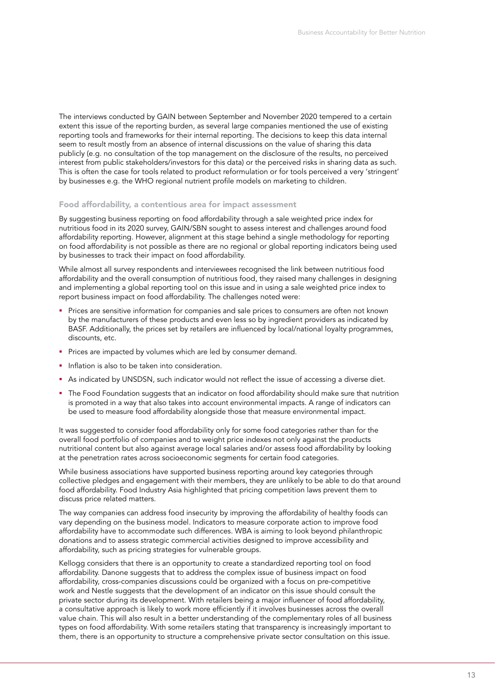The interviews conducted by GAIN between September and November 2020 tempered to a certain extent this issue of the reporting burden, as several large companies mentioned the use of existing reporting tools and frameworks for their internal reporting. The decisions to keep this data internal seem to result mostly from an absence of internal discussions on the value of sharing this data publicly (e.g. no consultation of the top management on the disclosure of the results, no perceived interest from public stakeholders/investors for this data) or the perceived risks in sharing data as such. This is often the case for tools related to product reformulation or for tools perceived a very 'stringent' by businesses e.g. the WHO regional nutrient profile models on marketing to children.

#### Food affordability, a contentious area for impact assessment

By suggesting business reporting on food affordability through a sale weighted price index for nutritious food in its 2020 survey, GAIN/SBN sought to assess interest and challenges around food affordability reporting. However, alignment at this stage behind a single methodology for reporting on food affordability is not possible as there are no regional or global reporting indicators being used by businesses to track their impact on food affordability.

While almost all survey respondents and interviewees recognised the link between nutritious food affordability and the overall consumption of nutritious food, they raised many challenges in designing and implementing a global reporting tool on this issue and in using a sale weighted price index to report business impact on food affordability. The challenges noted were:

- Prices are sensitive information for companies and sale prices to consumers are often not known by the manufacturers of these products and even less so by ingredient providers as indicated by BASF. Additionally, the prices set by retailers are influenced by local/national loyalty programmes, discounts, etc.
- Prices are impacted by volumes which are led by consumer demand.
- **Inflation is also to be taken into consideration.**
- As indicated by UNSDSN, such indicator would not reflect the issue of accessing a diverse diet.
- **The Food Foundation suggests that an indicator on food affordability should make sure that nutrition** is promoted in a way that also takes into account environmental impacts. A range of indicators can be used to measure food affordability alongside those that measure environmental impact.

It was suggested to consider food affordability only for some food categories rather than for the overall food portfolio of companies and to weight price indexes not only against the products nutritional content but also against average local salaries and/or assess food affordability by looking at the penetration rates across socioeconomic segments for certain food categories.

While business associations have supported business reporting around key categories through collective pledges and engagement with their members, they are unlikely to be able to do that around food affordability. Food Industry Asia highlighted that pricing competition laws prevent them to discuss price related matters.

The way companies can address food insecurity by improving the affordability of healthy foods can vary depending on the business model. Indicators to measure corporate action to improve food affordability have to accommodate such differences. WBA is aiming to look beyond philanthropic donations and to assess strategic commercial activities designed to improve accessibility and affordability, such as pricing strategies for vulnerable groups.

Kellogg considers that there is an opportunity to create a standardized reporting tool on food affordability. Danone suggests that to address the complex issue of business impact on food affordability, cross-companies discussions could be organized with a focus on pre-competitive work and Nestle suggests that the development of an indicator on this issue should consult the private sector during its development. With retailers being a major influencer of food affordability, a consultative approach is likely to work more efficiently if it involves businesses across the overall value chain. This will also result in a better understanding of the complementary roles of all business types on food affordability. With some retailers stating that transparency is increasingly important to them, there is an opportunity to structure a comprehensive private sector consultation on this issue.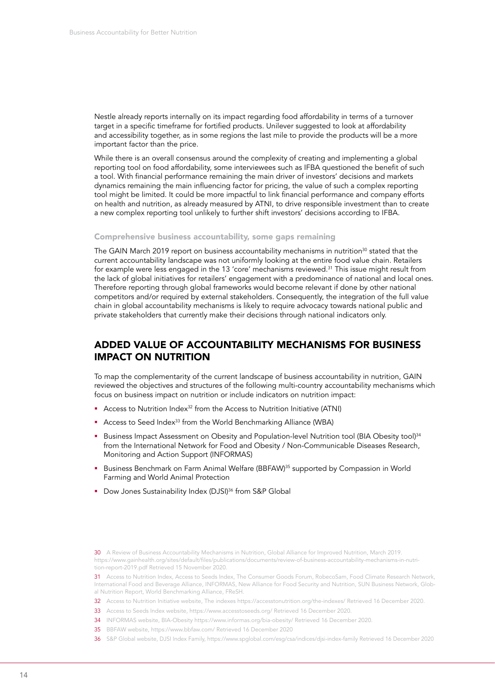<span id="page-15-0"></span>Nestle already reports internally on its impact regarding food affordability in terms of a turnover target in a specific timeframe for fortified products. Unilever suggested to look at affordability and accessibility together, as in some regions the last mile to provide the products will be a more important factor than the price.

While there is an overall consensus around the complexity of creating and implementing a global reporting tool on food affordability, some interviewees such as IFBA questioned the benefit of such a tool. With financial performance remaining the main driver of investors' decisions and markets dynamics remaining the main influencing factor for pricing, the value of such a complex reporting tool might be limited. It could be more impactful to link financial performance and company efforts on health and nutrition, as already measured by ATNI, to drive responsible investment than to create a new complex reporting tool unlikely to further shift investors' decisions according to IFBA.

#### Comprehensive business accountability, some gaps remaining

The GAIN March 2019 report on business accountability mechanisms in nutrition<sup>30</sup> stated that the current accountability landscape was not uniformly looking at the entire food value chain. Retailers for example were less engaged in the 13 'core' mechanisms reviewed.<sup>31</sup> This issue might result from the lack of global initiatives for retailers' engagement with a predominance of national and local ones. Therefore reporting through global frameworks would become relevant if done by other national competitors and/or required by external stakeholders. Consequently, the integration of the full value chain in global accountability mechanisms is likely to require advocacy towards national public and private stakeholders that currently make their decisions through national indicators only.

## ADDED VALUE OF ACCOUNTABILITY MECHANISMS FOR BUSINESS IMPACT ON NUTRITION

To map the complementarity of the current landscape of business accountability in nutrition, GAIN reviewed the objectives and structures of the following multi-country accountability mechanisms which focus on business impact on nutrition or include indicators on nutrition impact:

- Access to Nutrition Index<sup>32</sup> from the Access to Nutrition Initiative (ATNI)
- Access to Seed Index<sup>33</sup> from the World Benchmarking Alliance (WBA)
- Business Impact Assessment on Obesity and Population-level Nutrition tool (BIA Obesity tool) $34$ from the International Network for Food and Obesity / Non-Communicable Diseases Research, Monitoring and Action Support (INFORMAS)
- **Business Benchmark on Farm Animal Welfare (BBFAW)**<sup>35</sup> supported by Compassion in World Farming and World Animal Protection
- Dow Jones Sustainability Index (DJSI)<sup>36</sup> from S&P Global

35 BBFAW website, [https://www.bbfaw.com/](https://www.bbfaw.com) Retrieved 16 December 2020

<sup>30</sup> A Review of Business Accountability Mechanisms in Nutrition, Global Alliance for Improved Nutrition, March 2019. [https://www.gainhealth.org/sites/default/files/publications/documents/review-of-business-accountability-mechanisms-in-nutri](https://www.gainhealth.org/sites/default/files/publications/documents/review-of-business-accountability-mechanisms-in-nutrition-report-2019.pdf)[tion-report-2019.pdf](https://www.gainhealth.org/sites/default/files/publications/documents/review-of-business-accountability-mechanisms-in-nutrition-report-2019.pdf) Retrieved 15 November 2020.

<sup>31</sup> Access to Nutrition Index, Access to Seeds Index, The Consumer Goods Forum, RobecoSam, Food Climate Research Network, International Food and Beverage Alliance, INFORMAS, New Alliance for Food Security and Nutrition, SUN Business Network, Global Nutrition Report, World Benchmarking Alliance, FReSH.

<sup>32</sup> Access to Nutrition Initiative website, The indexes <https://accesstonutrition.org/the-indexes/>Retrieved 16 December 2020.

<sup>33</sup> Access to Seeds Index website, [https://www.accesstoseeds.org/](https://www.accesstoseeds.org) Retrieved 16 December 2020.

<sup>34</sup> INFORMAS website, BIA-Obesity <https://www.informas.org/bia-obesity/>Retrieved 16 December 2020.

<sup>36</sup> S&P Global website, DJSI Index Family,<https://www.spglobal.com/esg/csa/indices/djsi-index-family>Retrieved 16 December 2020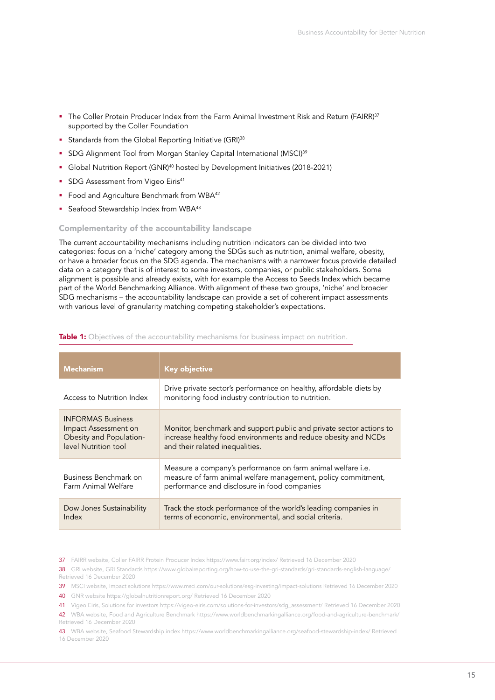- The Coller Protein Producer Index from the Farm Animal Investment Risk and Return (FAIRR)<sup>37</sup> supported by the Coller Foundation
- **Standards from the Global Reporting Initiative (GRI)**38
- SDG Alignment Tool from Morgan Stanley Capital International (MSCI)<sup>39</sup>
- Global Nutrition Report (GNR)<sup>40</sup> hosted by Development Initiatives (2018-2021)
- **SDG Assessment from Vigeo Eiris41**
- Food and Agriculture Benchmark from WBA42
- **Seafood Stewardship Index from WBA43**

#### Complementarity of the accountability landscape

The current accountability mechanisms including nutrition indicators can be divided into two categories: focus on a 'niche' category among the SDGs such as nutrition, animal welfare, obesity, or have a broader focus on the SDG agenda. The mechanisms with a narrower focus provide detailed data on a category that is of interest to some investors, companies, or public stakeholders. Some alignment is possible and already exists, with for example the Access to Seeds Index which became part of the World Benchmarking Alliance. With alignment of these two groups, 'niche' and broader SDG mechanisms – the accountability landscape can provide a set of coherent impact assessments with various level of granularity matching competing stakeholder's expectations.

| <b>Mechanism</b>                                                                                    | <b>Key objective</b>                                                                                                                                                         |
|-----------------------------------------------------------------------------------------------------|------------------------------------------------------------------------------------------------------------------------------------------------------------------------------|
| Access to Nutrition Index                                                                           | Drive private sector's performance on healthy, affordable diets by<br>monitoring food industry contribution to nutrition.                                                    |
| <b>INFORMAS Business</b><br>Impact Assessment on<br>Obesity and Population-<br>level Nutrition tool | Monitor, benchmark and support public and private sector actions to<br>increase healthy food environments and reduce obesity and NCDs<br>and their related inequalities.     |
| Business Benchmark on<br>Farm Animal Welfare                                                        | Measure a company's performance on farm animal welfare i.e.<br>measure of farm animal welfare management, policy commitment,<br>performance and disclosure in food companies |
| Dow Jones Sustainability<br>Index                                                                   | Track the stock performance of the world's leading companies in<br>terms of economic, environmental, and social criteria.                                                    |

#### Table 1: Objectives of the accountability mechanisms for business impact on nutrition.

37 FAIRR website, Coller FAIRR Protein Producer Index<https://www.fairr.org/index/> Retrieved 16 December 2020

38 GRI website, GRI Standards [https://www.globalreporting.org/how-to-use-the-gri-standards/gri-standards-english-language/](GRI website, GRI Standards https://www.globalreporting.org/how-to-use-the-gri-standards/gri-standards-english-language/ Retrieved 16 December 2020) Retrieved 16 December 2020

39 MSCI website, Impact solutions <https://www.msci.com/our-solutions/esg-investing/impact-solutions> Retrieved 16 December 2020

40 GNR website [https://globalnutritionreport.org/](https://globalnutritionreport.org) Retrieved 16 December 2020

41 Vigeo Eiris, Solutions for investors [https://vigeo-eiris.com/solutions-for-investors/sdg\\_assessment/](https://vigeo-eiris.com/solutions-for-investors/sdg_assessment/) Retrieved 16 December 2020

42 WBA website, Food and Agriculture Benchmark <https://www.worldbenchmarkingalliance.org/food-and-agriculture-benchmark/> Retrieved 16 December 2020

43 WBA website, Seafood Stewardship index <https://www.worldbenchmarkingalliance.org/seafood-stewardship-index/> Retrieved 16 December 2020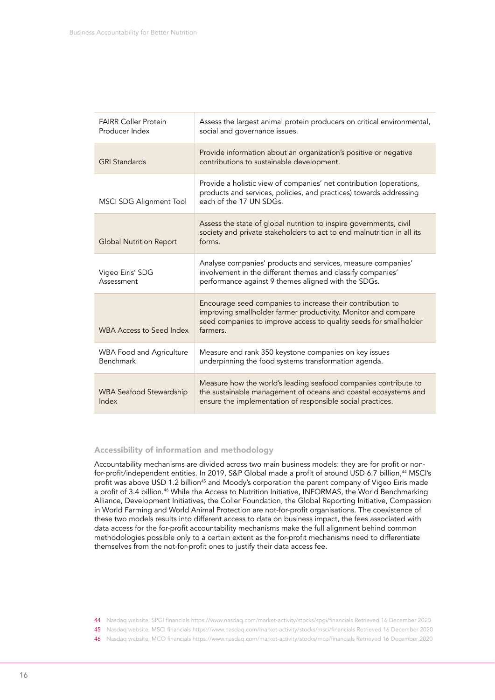| <b>FAIRR Coller Protein</b><br>Producer Index       | Assess the largest animal protein producers on critical environmental,<br>social and governance issues.                                                                                                       |
|-----------------------------------------------------|---------------------------------------------------------------------------------------------------------------------------------------------------------------------------------------------------------------|
| <b>GRI Standards</b>                                | Provide information about an organization's positive or negative<br>contributions to sustainable development.                                                                                                 |
| <b>MSCI SDG Alignment Tool</b>                      | Provide a holistic view of companies' net contribution (operations,<br>products and services, policies, and practices) towards addressing<br>each of the 17 UN SDGs.                                          |
| <b>Global Nutrition Report</b>                      | Assess the state of global nutrition to inspire governments, civil<br>society and private stakeholders to act to end malnutrition in all its<br>forms.                                                        |
| Vigeo Eiris' SDG<br>Assessment                      | Analyse companies' products and services, measure companies'<br>involvement in the different themes and classify companies'<br>performance against 9 themes aligned with the SDGs.                            |
| <b>WBA Access to Seed Index</b>                     | Encourage seed companies to increase their contribution to<br>improving smallholder farmer productivity. Monitor and compare<br>seed companies to improve access to quality seeds for smallholder<br>farmers. |
| <b>WBA Food and Agriculture</b><br><b>Benchmark</b> | Measure and rank 350 keystone companies on key issues<br>underpinning the food systems transformation agenda.                                                                                                 |
| <b>WBA Seafood Stewardship</b><br>Index             | Measure how the world's leading seafood companies contribute to<br>the sustainable management of oceans and coastal ecosystems and<br>ensure the implementation of responsible social practices.              |

#### Accessibility of information and methodology

Accountability mechanisms are divided across two main business models: they are for profit or nonfor-profit/independent entities. In 2019, S&P Global made a profit of around USD 6.7 billion,<sup>44</sup> MSCI's profit was above USD 1.2 billion<sup>45</sup> and Moody's corporation the parent company of Vigeo Eiris made a profit of 3.4 billion.<sup>46</sup> While the Access to Nutrition Initiative, INFORMAS, the World Benchmarking Alliance, Development Initiatives, the Coller Foundation, the Global Reporting Initiative, Compassion in World Farming and World Animal Protection are not-for-profit organisations. The coexistence of these two models results into different access to data on business impact, the fees associated with data access for the for-profit accountability mechanisms make the full alignment behind common methodologies possible only to a certain extent as the for-profit mechanisms need to differentiate themselves from the not-for-profit ones to justify their data access fee.

- 44 Nasdaq website, SPGI financials <https://www.nasdaq.com/market-activity/stocks/spgi/financials> Retrieved 16 December 2020
- 45 Nasdaq website, MSCI financials <https://www.nasdaq.com/market-activity/stocks/msci/financials> Retrieved 16 December 2020
- 46 Nasdaq website, MCO financials <https://www.nasdaq.com/market-activity/stocks/mco/financials> Retrieved 16 December 2020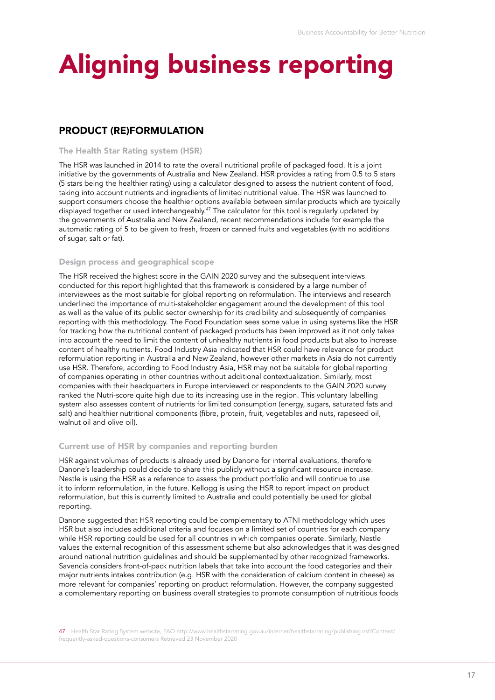# Aligning business reporting

## PRODUCT (RE)FORMULATION

#### The Health Star Rating system (HSR)

The HSR was launched in 2014 to rate the overall nutritional profile of packaged food. It is a joint initiative by the governments of Australia and New Zealand. HSR provides a rating from 0.5 to 5 stars (5 stars being the healthier rating) using a calculator designed to assess the nutrient content of food, taking into account nutrients and ingredients of limited nutritional value. The HSR was launched to support consumers choose the healthier options available between similar products which are typically displayed together or used interchangeably.47 The calculator for this tool is regularly updated by the governments of Australia and New Zealand, recent recommendations include for example the automatic rating of 5 to be given to fresh, frozen or canned fruits and vegetables (with no additions of sugar, salt or fat).

#### Design process and geographical scope

The HSR received the highest score in the GAIN 2020 survey and the subsequent interviews conducted for this report highlighted that this framework is considered by a large number of interviewees as the most suitable for global reporting on reformulation. The interviews and research underlined the importance of multi-stakeholder engagement around the development of this tool as well as the value of its public sector ownership for its credibility and subsequently of companies reporting with this methodology. The Food Foundation sees some value in using systems like the HSR for tracking how the nutritional content of packaged products has been improved as it not only takes into account the need to limit the content of unhealthy nutrients in food products but also to increase content of healthy nutrients. Food Industry Asia indicated that HSR could have relevance for product reformulation reporting in Australia and New Zealand, however other markets in Asia do not currently use HSR. Therefore, according to Food Industry Asia, HSR may not be suitable for global reporting of companies operating in other countries without additional contextualization. Similarly, most companies with their headquarters in Europe interviewed or respondents to the GAIN 2020 survey ranked the Nutri-score quite high due to its increasing use in the region. This voluntary labelling system also assesses content of nutrients for limited consumption (energy, sugars, saturated fats and salt) and healthier nutritional components (fibre, protein, fruit, vegetables and nuts, rapeseed oil, walnut oil and olive oil).

#### Current use of HSR by companies and reporting burden

HSR against volumes of products is already used by Danone for internal evaluations, therefore Danone's leadership could decide to share this publicly without a significant resource increase. Nestle is using the HSR as a reference to assess the product portfolio and will continue to use it to inform reformulation, in the future. Kellogg is using the HSR to report impact on product reformulation, but this is currently limited to Australia and could potentially be used for global reporting.

Danone suggested that HSR reporting could be complementary to ATNI methodology which uses HSR but also includes additional criteria and focuses on a limited set of countries for each company while HSR reporting could be used for all countries in which companies operate. Similarly, Nestle values the external recognition of this assessment scheme but also acknowledges that it was designed around national nutrition guidelines and should be supplemented by other recognized frameworks. Savencia considers front-of-pack nutrition labels that take into account the food categories and their major nutrients intakes contribution (e.g. HSR with the consideration of calcium content in cheese) as more relevant for companies' reporting on product reformulation. However, the company suggested a complementary reporting on business overall strategies to promote consumption of nutritious foods

47 Health Star Rating System website, FAQ [http://www.healthstarrating.gov.au/internet/healthstarrating/publishing.nsf/Content/](http://www.healthstarrating.gov.au/internet/healthstarrating/publishing.nsf/Content/frequently-asked-questions-consumers) [frequently-asked-questions-consumers](http://www.healthstarrating.gov.au/internet/healthstarrating/publishing.nsf/Content/frequently-asked-questions-consumers) Retrieved 23 November 2020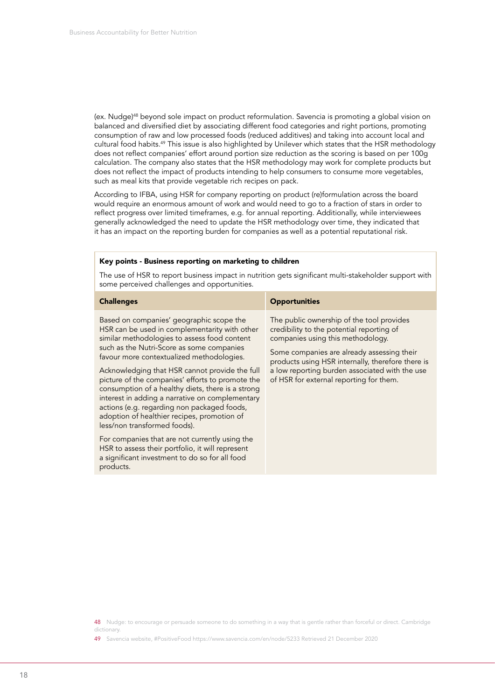(ex. Nudge)48 beyond sole impact on product reformulation. Savencia is promoting a global vision on balanced and diversified diet by associating different food categories and right portions, promoting consumption of raw and low processed foods (reduced additives) and taking into account local and cultural food habits.49 This issue is also highlighted by Unilever which states that the HSR methodology does not reflect companies' effort around portion size reduction as the scoring is based on per 100g calculation. The company also states that the HSR methodology may work for complete products but does not reflect the impact of products intending to help consumers to consume more vegetables, such as meal kits that provide vegetable rich recipes on pack.

According to IFBA, using HSR for company reporting on product (re)formulation across the board would require an enormous amount of work and would need to go to a fraction of stars in order to reflect progress over limited timeframes, e.g. for annual reporting. Additionally, while interviewees generally acknowledged the need to update the HSR methodology over time, they indicated that it has an impact on the reporting burden for companies as well as a potential reputational risk.

#### Key points - Business reporting on marketing to children

The use of HSR to report business impact in nutrition gets significant multi-stakeholder support with some perceived challenges and opportunities.

| <b>Challenges</b>                                                                                                                                                                                                                                                                                                                                                                                                                                                                                                                                                               | <b>Opportunities</b>                                                                                                                                                                                                                                                                                                        |
|---------------------------------------------------------------------------------------------------------------------------------------------------------------------------------------------------------------------------------------------------------------------------------------------------------------------------------------------------------------------------------------------------------------------------------------------------------------------------------------------------------------------------------------------------------------------------------|-----------------------------------------------------------------------------------------------------------------------------------------------------------------------------------------------------------------------------------------------------------------------------------------------------------------------------|
| Based on companies' geographic scope the<br>HSR can be used in complementarity with other<br>similar methodologies to assess food content<br>such as the Nutri-Score as some companies<br>favour more contextualized methodologies.<br>Acknowledging that HSR cannot provide the full<br>picture of the companies' efforts to promote the<br>consumption of a healthy diets, there is a strong<br>interest in adding a narrative on complementary<br>actions (e.g. regarding non packaged foods,<br>adoption of healthier recipes, promotion of<br>less/non transformed foods). | The public ownership of the tool provides<br>credibility to the potential reporting of<br>companies using this methodology.<br>Some companies are already assessing their<br>products using HSR internally, therefore there is<br>a low reporting burden associated with the use<br>of HSR for external reporting for them. |
| For companies that are not currently using the<br>HSR to assess their portfolio, it will represent<br>a significant investment to do so for all food<br>products.                                                                                                                                                                                                                                                                                                                                                                                                               |                                                                                                                                                                                                                                                                                                                             |

<sup>48</sup> Nudge: to encourage or persuade someone to do something in a way that is gentle rather than forceful or direct. Cambridge dictionary.

<sup>49</sup> Savencia website, #PositiveFood <https://www.savencia.com/en/node/5233>Retrieved 21 December 2020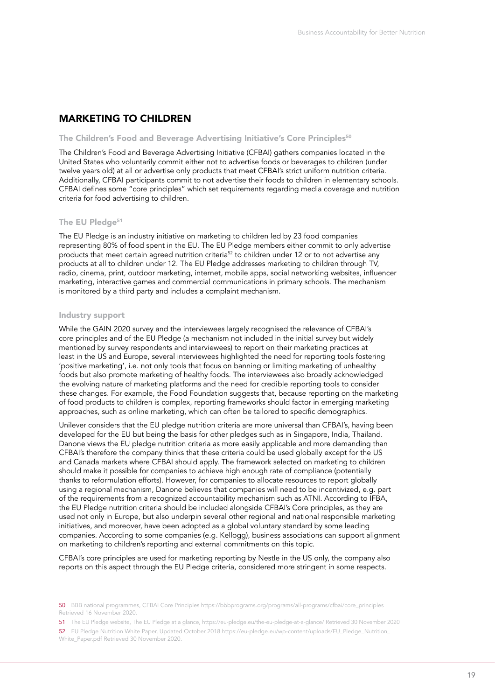## MARKETING TO CHILDREN

### The Children's Food and Beverage Advertising Initiative's Core Principles<sup>50</sup>

The Children's Food and Beverage Advertising Initiative (CFBAI) gathers companies located in the United States who voluntarily commit either not to advertise foods or beverages to children (under twelve years old) at all or advertise only products that meet CFBAI's strict uniform nutrition criteria. Additionally, CFBAI participants commit to not advertise their foods to children in elementary schools. CFBAI defines some "core principles" which set requirements regarding media coverage and nutrition criteria for food advertising to children.

#### The EU Pledge<sup>51</sup>

The EU Pledge is an industry initiative on marketing to children led by 23 food companies representing 80% of food spent in the EU. The EU Pledge members either commit to only advertise products that meet certain agreed nutrition criteria52 to children under 12 or to not advertise any products at all to children under 12. The EU Pledge addresses marketing to children through TV, radio, cinema, print, outdoor marketing, internet, mobile apps, social networking websites, influencer marketing, interactive games and commercial communications in primary schools. The mechanism is monitored by a third party and includes a complaint mechanism.

#### Industry support

While the GAIN 2020 survey and the interviewees largely recognised the relevance of CFBAI's core principles and of the EU Pledge (a mechanism not included in the initial survey but widely mentioned by survey respondents and interviewees) to report on their marketing practices at least in the US and Europe, several interviewees highlighted the need for reporting tools fostering 'positive marketing', i.e. not only tools that focus on banning or limiting marketing of unhealthy foods but also promote marketing of healthy foods. The interviewees also broadly acknowledged the evolving nature of marketing platforms and the need for credible reporting tools to consider these changes. For example, the Food Foundation suggests that, because reporting on the marketing of food products to children is complex, reporting frameworks should factor in emerging marketing approaches, such as online marketing, which can often be tailored to specific demographics.

Unilever considers that the EU pledge nutrition criteria are more universal than CFBAI's, having been developed for the EU but being the basis for other pledges such as in Singapore, India, Thailand. Danone views the EU pledge nutrition criteria as more easily applicable and more demanding than CFBAI's therefore the company thinks that these criteria could be used globally except for the US and Canada markets where CFBAI should apply. The framework selected on marketing to children should make it possible for companies to achieve high enough rate of compliance (potentially thanks to reformulation efforts). However, for companies to allocate resources to report globally using a regional mechanism, Danone believes that companies will need to be incentivized, e.g. part of the requirements from a recognized accountability mechanism such as ATNI. According to IFBA, the EU Pledge nutrition criteria should be included alongside CFBAI's Core principles, as they are used not only in Europe, but also underpin several other regional and national responsible marketing initiatives, and moreover, have been adopted as a global voluntary standard by some leading companies. According to some companies (e.g. Kellogg), business associations can support alignment on marketing to children's reporting and external commitments on this topic.

CFBAI's core principles are used for marketing reporting by Nestle in the US only, the company also reports on this aspect through the EU Pledge criteria, considered more stringent in some respects.

<sup>50</sup> BBB national programmes, CFBAI Core Principles [https://bbbprograms.org/programs/all-programs/cfbai/core\\_principles](https://bbbprograms.org/programs/all-programs/cfbai/core_principles)  Retrieved 16 November 2020.

<sup>51</sup> The EU Pledge website, The EU Pledge at a glance,<https://eu-pledge.eu/the-eu-pledge-at-a-glance/>Retrieved 30 November 2020 52 EU Pledge Nutrition White Paper, Updated October 2018 [https://eu-pledge.eu/wp-content/uploads/EU\\_Pledge\\_Nutrition\\_](https://eu-pledge.eu/wp-content/uploads/EU_Pledge_Nutrition_White_Paper.pdf) [White\\_Paper.pdf](https://eu-pledge.eu/wp-content/uploads/EU_Pledge_Nutrition_White_Paper.pdf) Retrieved 30 November 2020.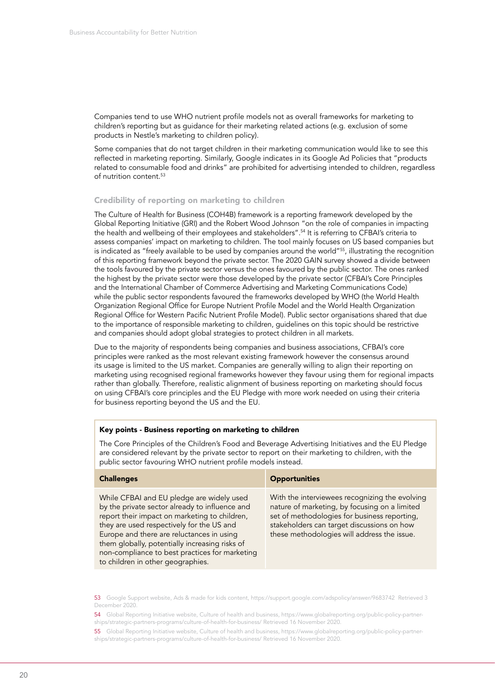Companies tend to use WHO nutrient profile models not as overall frameworks for marketing to children's reporting but as guidance for their marketing related actions (e.g. exclusion of some products in Nestle's marketing to children policy).

Some companies that do not target children in their marketing communication would like to see this reflected in marketing reporting. Similarly, Google indicates in its Google Ad Policies that "products related to consumable food and drinks" are prohibited for advertising intended to children, regardless of nutrition content.<sup>53</sup>

#### Credibility of reporting on marketing to children

The Culture of Health for Business (COH4B) framework is a reporting framework developed by the Global Reporting Initiative (GRI) and the Robert Wood Johnson "on the role of companies in impacting the health and wellbeing of their employees and stakeholders".54 It is referring to CFBAI's criteria to assess companies' impact on marketing to children. The tool mainly focuses on US based companies but is indicated as "freely available to be used by companies around the world"55, illustrating the recognition of this reporting framework beyond the private sector. The 2020 GAIN survey showed a divide between the tools favoured by the private sector versus the ones favoured by the public sector. The ones ranked the highest by the private sector were those developed by the private sector (CFBAI's Core Principles and the International Chamber of Commerce Advertising and Marketing Communications Code) while the public sector respondents favoured the frameworks developed by WHO (the World Health Organization Regional Office for Europe Nutrient Profile Model and the World Health Organization Regional Office for Western Pacific Nutrient Profile Model). Public sector organisations shared that due to the importance of responsible marketing to children, guidelines on this topic should be restrictive and companies should adopt global strategies to protect children in all markets.

Due to the majority of respondents being companies and business associations, CFBAI's core principles were ranked as the most relevant existing framework however the consensus around its usage is limited to the US market. Companies are generally willing to align their reporting on marketing using recognised regional frameworks however they favour using them for regional impacts rather than globally. Therefore, realistic alignment of business reporting on marketing should focus on using CFBAI's core principles and the EU Pledge with more work needed on using their criteria for business reporting beyond the US and the EU.

#### Key points - Business reporting on marketing to children

The Core Principles of the Children's Food and Beverage Advertising Initiatives and the EU Pledge are considered relevant by the private sector to report on their marketing to children, with the public sector favouring WHO nutrient profile models instead.

| <b>Challenges</b>                                                                                                                                                                                                                                                                                                                                                               | <b>Opportunities</b>                                                                                                                                                                                                                         |
|---------------------------------------------------------------------------------------------------------------------------------------------------------------------------------------------------------------------------------------------------------------------------------------------------------------------------------------------------------------------------------|----------------------------------------------------------------------------------------------------------------------------------------------------------------------------------------------------------------------------------------------|
| While CFBAI and EU pledge are widely used<br>by the private sector already to influence and<br>report their impact on marketing to children,<br>they are used respectively for the US and<br>Europe and there are reluctances in using<br>them globally, potentially increasing risks of<br>non-compliance to best practices for marketing<br>to children in other geographies. | With the interviewees recognizing the evolving<br>nature of marketing, by focusing on a limited<br>set of methodologies for business reporting,<br>stakeholders can target discussions on how<br>these methodologies will address the issue. |

53 Google Support website, Ads & made for kids content, <https://support.google.com/adspolicy/answer/9683742> Retrieved 3 December 2020.

54 Global Reporting Initiative website, Culture of health and business, [https://www.globalreporting.org/public-policy-partner](https://www.globalreporting.org/public-policy-partnerships/strategic-partners-programs/culture-of-health-for-business/)[ships/strategic-partners-programs/culture-of-health-for-business/](https://www.globalreporting.org/public-policy-partnerships/strategic-partners-programs/culture-of-health-for-business/) Retrieved 16 November 2020.

55 Global Reporting Initiative website, Culture of health and business, [https://www.globalreporting.org/public-policy-partner](https://www.globalreporting.org/public-policy-partnerships/strategic-partners-programs/culture-of-health-for-business/)[ships/strategic-partners-programs/culture-of-health-for-business/](https://www.globalreporting.org/public-policy-partnerships/strategic-partners-programs/culture-of-health-for-business/) Retrieved 16 November 2020.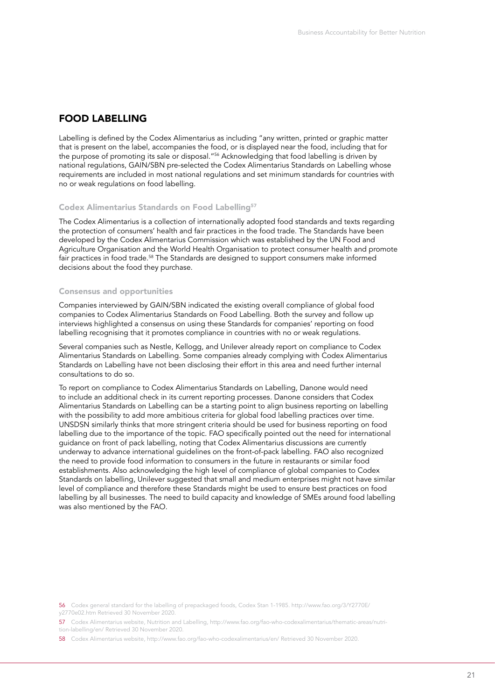## FOOD LABELLING

Labelling is defined by the Codex Alimentarius as including "any written, printed or graphic matter that is present on the label, accompanies the food, or is displayed near the food, including that for the purpose of promoting its sale or disposal."56 Acknowledging that food labelling is driven by national regulations, GAIN/SBN pre-selected the Codex Alimentarius Standards on Labelling whose requirements are included in most national regulations and set minimum standards for countries with no or weak regulations on food labelling.

#### Codex Alimentarius Standards on Food Labelling<sup>57</sup>

The Codex Alimentarius is a collection of internationally adopted food standards and texts regarding the protection of consumers' health and fair practices in the food trade. The Standards have been developed by the Codex Alimentarius Commission which was established by the UN Food and Agriculture Organisation and the World Health Organisation to protect consumer health and promote fair practices in food trade.<sup>58</sup> The Standards are designed to support consumers make informed decisions about the food they purchase.

#### Consensus and opportunities

Companies interviewed by GAIN/SBN indicated the existing overall compliance of global food companies to Codex Alimentarius Standards on Food Labelling. Both the survey and follow up interviews highlighted a consensus on using these Standards for companies' reporting on food labelling recognising that it promotes compliance in countries with no or weak regulations.

Several companies such as Nestle, Kellogg, and Unilever already report on compliance to Codex Alimentarius Standards on Labelling. Some companies already complying with Codex Alimentarius Standards on Labelling have not been disclosing their effort in this area and need further internal consultations to do so.

To report on compliance to Codex Alimentarius Standards on Labelling, Danone would need to include an additional check in its current reporting processes. Danone considers that Codex Alimentarius Standards on Labelling can be a starting point to align business reporting on labelling with the possibility to add more ambitious criteria for global food labelling practices over time. UNSDSN similarly thinks that more stringent criteria should be used for business reporting on food labelling due to the importance of the topic. FAO specifically pointed out the need for international guidance on front of pack labelling, noting that Codex Alimentarius discussions are currently underway to advance international guidelines on the front-of-pack labelling. FAO also recognized the need to provide food information to consumers in the future in restaurants or similar food establishments. Also acknowledging the high level of compliance of global companies to Codex Standards on labelling, Unilever suggested that small and medium enterprises might not have similar level of compliance and therefore these Standards might be used to ensure best practices on food labelling by all businesses. The need to build capacity and knowledge of SMEs around food labelling was also mentioned by the FAO.

56 Codex general standard for the labelling of prepackaged foods, Codex Stan 1-1985. [http://www.fao.org/3/Y2770E/](http://www.fao.org/3/Y2770E/y2770e02.htm) [y2770e02.htm](http://www.fao.org/3/Y2770E/y2770e02.htm) Retrieved 30 November 2020.

57 Codex Alimentarius website, Nutrition and Labelling, [http://www.fao.org/fao-who-codexalimentarius/thematic-areas/nutri-](http://www.fao.org/fao-who-codexalimentarius/thematic-areas/nutrition-labelling/en/)

[tion-labelling/en/](http://www.fao.org/fao-who-codexalimentarius/thematic-areas/nutrition-labelling/en/) Retrieved 30 November 2020.

58 Codex Alimentarius website, <http://www.fao.org/fao-who-codexalimentarius/en/>Retrieved 30 November 2020.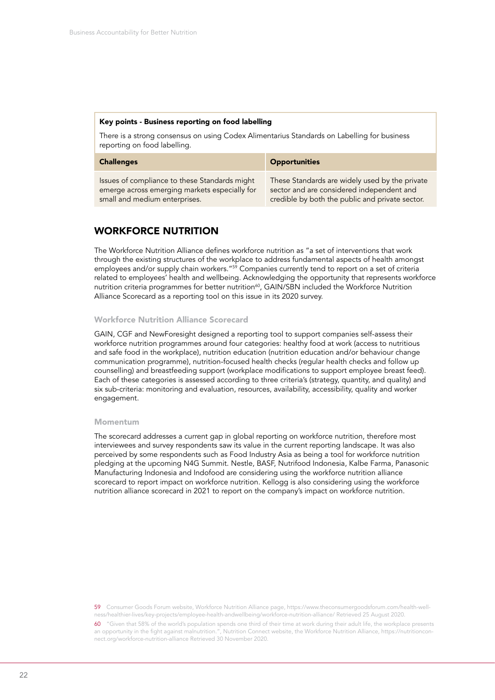#### Key points - Business reporting on food labelling

There is a strong consensus on using Codex Alimentarius Standards on Labelling for business reporting on food labelling.

| <b>Challenges</b>                             | <b>Opportunities</b>                            |
|-----------------------------------------------|-------------------------------------------------|
| Issues of compliance to these Standards might | These Standards are widely used by the private  |
| emerge across emerging markets especially for | sector and are considered independent and       |
| small and medium enterprises.                 | credible by both the public and private sector. |

### WORKFORCE NUTRITION

The Workforce Nutrition Alliance defines workforce nutrition as "a set of interventions that work through the existing structures of the workplace to address fundamental aspects of health amongst employees and/or supply chain workers."<sup>59</sup> Companies currently tend to report on a set of criteria related to employees' health and wellbeing. Acknowledging the opportunity that represents workforce nutrition criteria programmes for better nutrition<sup>60</sup>, GAIN/SBN included the Workforce Nutrition Alliance Scorecard as a reporting tool on this issue in its 2020 survey.

#### Workforce Nutrition Alliance Scorecard

GAIN, CGF and NewForesight designed a reporting tool to support companies self-assess their workforce nutrition programmes around four categories: healthy food at work (access to nutritious and safe food in the workplace), nutrition education (nutrition education and/or behaviour change communication programme), nutrition-focused health checks (regular health checks and follow up counselling) and breastfeeding support (workplace modifications to support employee breast feed). Each of these categories is assessed according to three criteria's (strategy, quantity, and quality) and six sub-criteria: monitoring and evaluation, resources, availability, accessibility, quality and worker engagement.

#### Momentum

The scorecard addresses a current gap in global reporting on workforce nutrition, therefore most interviewees and survey respondents saw its value in the current reporting landscape. It was also perceived by some respondents such as Food Industry Asia as being a tool for workforce nutrition pledging at the upcoming N4G Summit. Nestle, BASF, Nutrifood Indonesia, Kalbe Farma, Panasonic Manufacturing Indonesia and Indofood are considering using the workforce nutrition alliance scorecard to report impact on workforce nutrition. Kellogg is also considering using the workforce nutrition alliance scorecard in 2021 to report on the company's impact on workforce nutrition.

59 Consumer Goods Forum website, Workforce Nutrition Alliance page, [https://www.theconsumergoodsforum.com/health-well](https://www.theconsumergoodsforum.com/health-wellness/healthier-lives/key-projects/employee-health-andwellbeing/workforce-nutrition-alliance/)[ness/healthier-lives/key-projects/employee-health-andwellbeing/workforce-nutrition-alliance/](https://www.theconsumergoodsforum.com/health-wellness/healthier-lives/key-projects/employee-health-andwellbeing/workforce-nutrition-alliance/) Retrieved 25 August 2020.

60 "Given that 58% of the world's population spends one third of their time at work during their adult life, the workplace presents an opportunity in the fight against malnutrition.", Nutrition Connect website, the Workforce Nutrition Alliance, [https://nutritioncon](https://nutritionconnect.org/workforce-nutrition-alliance)[nect.org/workforce-nutrition-alliance](https://nutritionconnect.org/workforce-nutrition-alliance) Retrieved 30 November 2020.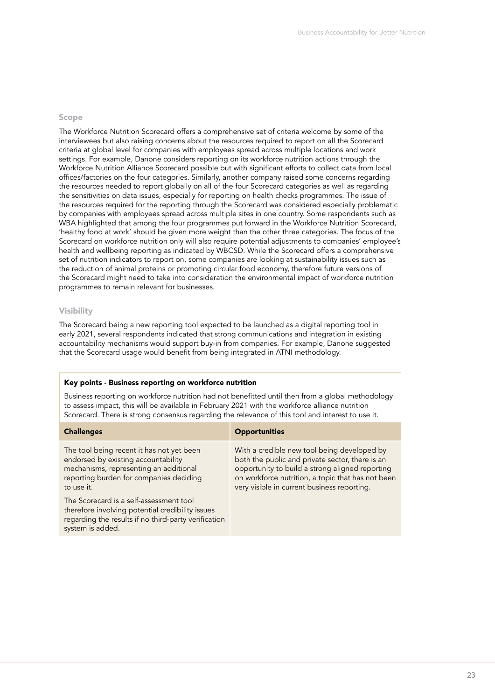#### Scope

The Workforce Nutrition Scorecard offers a comprehensive set of criteria welcome by some of the interviewees but also raising concerns about the resources required to report on all the Scorecard criteria at global level for companies with employees spread across multiple locations and work settings. For example, Danone considers reporting on its workforce nutrition actions through the Workforce Nutrition Alliance Scorecard possible but with significant efforts to collect data from local offices/factories on the four categories. Similarly, another company raised some concerns regarding the resources needed to report globally on all of the four Scorecard categories as well as regarding the sensitivities on data issues, especially for reporting on health checks programmes. The issue of the resources required for the reporting through the Scorecard was considered especially problematic by companies with employees spread across multiple sites in one country. Some respondents such as WBA highlighted that among the four programmes put forward in the Workforce Nutrition Scorecard, 'healthy food at work' should be given more weight than the other three categories. The focus of the Scorecard on workforce nutrition only will also require potential adjustments to companies' employee's health and wellbeing reporting as indicated by WBCSD. While the Scorecard offers a comprehensive set of nutrition indicators to report on, some companies are looking at sustainability issues such as the reduction of animal proteins or promoting circular food economy, therefore future versions of the Scorecard might need to take into consideration the environmental impact of workforce nutrition programmes to remain relevant for businesses.

#### Visibility

The Scorecard being a new reporting tool expected to be launched as a digital reporting tool in early 2021, several respondents indicated that strong communications and integration in existing accountability mechanisms would support buy-in from companies. For example, Danone suggested that the Scorecard usage would benefit from being integrated in ATNI methodology.

#### Key points - Business reporting on workforce nutrition

Business reporting on workforce nutrition had not benefitted until then from a global methodology to assess impact, this will be available in February 2021 with the workforce alliance nutrition Scorecard. There is strong consensus regarding the relevance of this tool and interest to use it.

| <b>Challenges</b>                                                                                                                                                                   | <b>Opportunities</b>                                                                                                                                                                                                                                  |
|-------------------------------------------------------------------------------------------------------------------------------------------------------------------------------------|-------------------------------------------------------------------------------------------------------------------------------------------------------------------------------------------------------------------------------------------------------|
| The tool being recent it has not yet been<br>endorsed by existing accountability<br>mechanisms, representing an additional<br>reporting burden for companies deciding<br>to use it. | With a credible new tool being developed by<br>both the public and private sector, there is an<br>opportunity to build a strong aligned reporting<br>on workforce nutrition, a topic that has not been<br>very visible in current business reporting. |
| The Scorecard is a self-assessment tool<br>therefore involving potential credibility issues<br>regarding the results if no third-party verification<br>system is added.             |                                                                                                                                                                                                                                                       |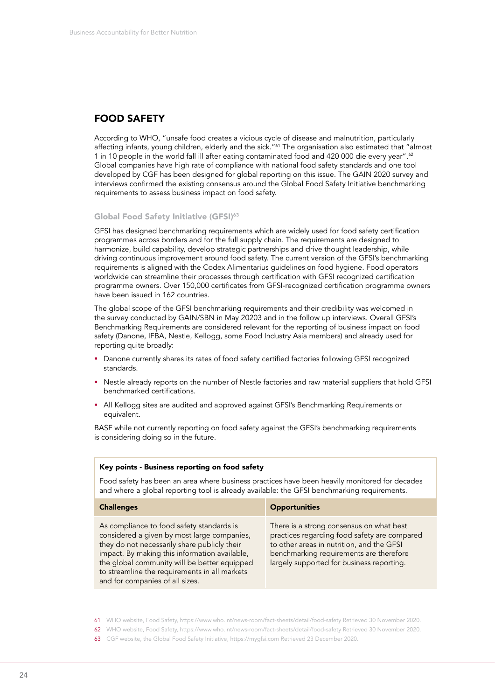## FOOD SAFETY

According to WHO, "unsafe food creates a vicious cycle of disease and malnutrition, particularly affecting infants, young children, elderly and the sick."61 The organisation also estimated that "almost 1 in 10 people in the world fall ill after eating contaminated food and 420 000 die every year".62 Global companies have high rate of compliance with national food safety standards and one tool developed by CGF has been designed for global reporting on this issue. The GAIN 2020 survey and interviews confirmed the existing consensus around the Global Food Safety Initiative benchmarking requirements to assess business impact on food safety.

#### Global Food Safety Initiative (GFSI)<sup>63</sup>

Key points - Business reporting on food safety

GFSI has designed benchmarking requirements which are widely used for food safety certification programmes across borders and for the full supply chain. The requirements are designed to harmonize, build capability, develop strategic partnerships and drive thought leadership, while driving continuous improvement around food safety. The current version of the GFSI's benchmarking requirements is aligned with the Codex Alimentarius guidelines on food hygiene. Food operators worldwide can streamline their processes through certification with GFSI recognized certification programme owners. Over 150,000 certificates from GFSI-recognized certification programme owners have been issued in 162 countries.

The global scope of the GFSI benchmarking requirements and their credibility was welcomed in the survey conducted by GAIN/SBN in May 20203 and in the follow up interviews. Overall GFSI's Benchmarking Requirements are considered relevant for the reporting of business impact on food safety (Danone, IFBA, Nestle, Kellogg, some Food Industry Asia members) and already used for reporting quite broadly:

- **Danone currently shares its rates of food safety certified factories following GFSI recognized** standards.
- Nestle already reports on the number of Nestle factories and raw material suppliers that hold GFSI benchmarked certifications.
- All Kellogg sites are audited and approved against GFSI's Benchmarking Requirements or equivalent.

BASF while not currently reporting on food safety against the GFSI's benchmarking requirements is considering doing so in the future.

| Food safety has been an area where business practices have been heavily monitored for decades<br>and where a global reporting tool is already available: the GFSI benchmarking requirements.                                                                                                                                  |                                                                                                                                                                                                                               |
|-------------------------------------------------------------------------------------------------------------------------------------------------------------------------------------------------------------------------------------------------------------------------------------------------------------------------------|-------------------------------------------------------------------------------------------------------------------------------------------------------------------------------------------------------------------------------|
| <b>Challenges</b>                                                                                                                                                                                                                                                                                                             | <b>Opportunities</b>                                                                                                                                                                                                          |
| As compliance to food safety standards is<br>considered a given by most large companies,<br>they do not necessarily share publicly their<br>impact. By making this information available,<br>the global community will be better equipped<br>to streamline the requirements in all markets<br>and for companies of all sizes. | There is a strong consensus on what best<br>practices regarding food safety are compared<br>to other areas in nutrition, and the GFSI<br>benchmarking requirements are therefore<br>largely supported for business reporting. |

<sup>61</sup> WHO website, Food Safety,<https://www.who.int/news-room/fact-sheets/detail/food-safety> Retrieved 30 November 2020.

<sup>62</sup> WHO website, Food Safety,<https://www.who.int/news-room/fact-sheets/detail/food-safety> Retrieved 30 November 2020.

<sup>63</sup> CGF website, the Global Food Safety Initiative,<https://mygfsi.com>Retrieved 23 December 2020.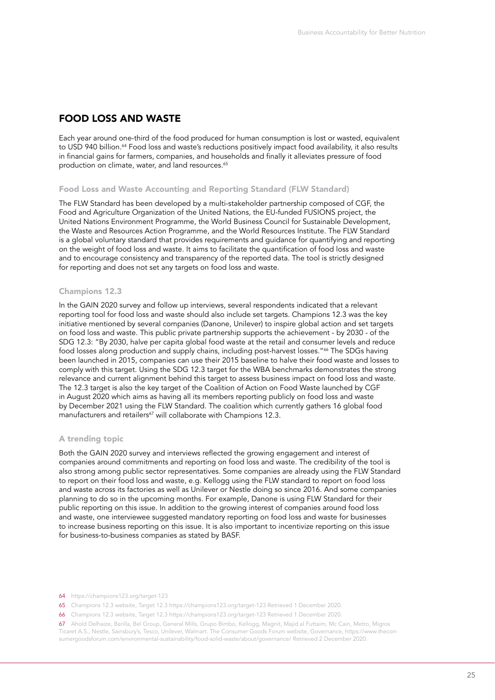## FOOD LOSS AND WASTE

Each year around one-third of the food produced for human consumption is lost or wasted, equivalent to USD 940 billion.<sup>64</sup> Food loss and waste's reductions positively impact food availability, it also results in financial gains for farmers, companies, and households and finally it alleviates pressure of food production on climate, water, and land resources.65

#### Food Loss and Waste Accounting and Reporting Standard (FLW Standard)

The FLW Standard has been developed by a multi-stakeholder partnership composed of CGF, the Food and Agriculture Organization of the United Nations, the EU-funded FUSIONS project, the United Nations Environment Programme, the World Business Council for Sustainable Development, the Waste and Resources Action Programme, and the World Resources Institute. The FLW Standard is a global voluntary standard that provides requirements and guidance for quantifying and reporting on the weight of food loss and waste. It aims to facilitate the quantification of food loss and waste and to encourage consistency and transparency of the reported data. The tool is strictly designed for reporting and does not set any targets on food loss and waste.

#### Champions 12.3

In the GAIN 2020 survey and follow up interviews, several respondents indicated that a relevant reporting tool for food loss and waste should also include set targets. Champions 12.3 was the key initiative mentioned by several companies (Danone, Unilever) to inspire global action and set targets on food loss and waste. This public private partnership supports the achievement - by 2030 - of the SDG 12.3: "By 2030, halve per capita global food waste at the retail and consumer levels and reduce food losses along production and supply chains, including post-harvest losses."<sup>66</sup> The SDGs having been launched in 2015, companies can use their 2015 baseline to halve their food waste and losses to comply with this target. Using the SDG 12.3 target for the WBA benchmarks demonstrates the strong relevance and current alignment behind this target to assess business impact on food loss and waste. The 12.3 target is also the key target of the Coalition of Action on Food Waste launched by CGF in August 2020 which aims as having all its members reporting publicly on food loss and waste by December 2021 using the FLW Standard. The coalition which currently gathers 16 global food manufacturers and retailers<sup>67</sup> will collaborate with Champions 12.3.

#### A trending topic

Both the GAIN 2020 survey and interviews reflected the growing engagement and interest of companies around commitments and reporting on food loss and waste. The credibility of the tool is also strong among public sector representatives. Some companies are already using the FLW Standard to report on their food loss and waste, e.g. Kellogg using the FLW standard to report on food loss and waste across its factories as well as Unilever or Nestle doing so since 2016. And some companies planning to do so in the upcoming months. For example, Danone is using FLW Standard for their public reporting on this issue. In addition to the growing interest of companies around food loss and waste, one interviewee suggested mandatory reporting on food loss and waste for businesses to increase business reporting on this issue. It is also important to incentivize reporting on this issue for business-to-business companies as stated by BASF.

66 Champions 12.3 website, Target 12.3 <https://champions123.org/target-123>Retrieved 1 December 2020.

67 Ahold Delhaize, Barilla, Bel Group, General Mills, Grupo Bimbo, Kellogg, Magnit, Majid al Futtaim, Mc Cain, Metro, Migros Ticaret A.S., Nestle, Sainsbury's, Tesco, Unilever, Walmart. The Consumer Goods Forum website, Governance, [https://www.thecon](https://www.theconsumergoodsforum.com/environmental-sustainability/food-solid-waste/about/governance/)[sumergoodsforum.com/environmental-sustainability/food-solid-waste/about/governance/](https://www.theconsumergoodsforum.com/environmental-sustainability/food-solid-waste/about/governance/) Retrieved 2 December 2020.

<sup>64</sup> <https://champions123.org/target-123>

<sup>65</sup> Champions 12.3 website, Target 12.3 <https://champions123.org/target-123>Retrieved 1 December 2020.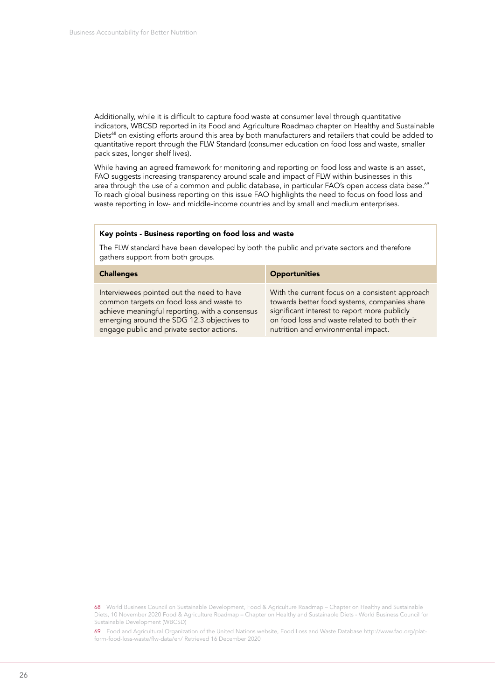Additionally, while it is difficult to capture food waste at consumer level through quantitative indicators, WBCSD reported in its Food and Agriculture Roadmap chapter on Healthy and Sustainable Diets<sup>68</sup> on existing efforts around this area by both manufacturers and retailers that could be added to quantitative report through the FLW Standard (consumer education on food loss and waste, smaller pack sizes, longer shelf lives).

While having an agreed framework for monitoring and reporting on food loss and waste is an asset, FAO suggests increasing transparency around scale and impact of FLW within businesses in this area through the use of a common and public database, in particular FAO's open access data base.<sup>69</sup> To reach global business reporting on this issue FAO highlights the need to focus on food loss and waste reporting in low- and middle-income countries and by small and medium enterprises.

#### Key points - Business reporting on food loss and waste

The FLW standard have been developed by both the public and private sectors and therefore gathers support from both groups.

| <b>Challenges</b>                              | <b>Opportunities</b>                            |
|------------------------------------------------|-------------------------------------------------|
| Interviewees pointed out the need to have      | With the current focus on a consistent approach |
| common targets on food loss and waste to       | towards better food systems, companies share    |
| achieve meaningful reporting, with a consensus | significant interest to report more publicly    |
| emerging around the SDG 12.3 objectives to     | on food loss and waste related to both their    |
| engage public and private sector actions.      | nutrition and environmental impact.             |

68 World Business Council on Sustainable Development, Food & Agriculture Roadmap – Chapter on Healthy and Sustainable Diets, 10 November 2020 [Food & Agriculture Roadmap – Chapter on Healthy and Sustainable Diets - World Business Council for](https://www.wbcsd.org/Programs/Food-and-Nature/Food-Land-Use/FReSH/Resources/Food-Agriculture-Roadmap-Chapter-on-Healthy-and-Sustainable-Diets)  [Sustainable Development \(WBCSD\)](https://www.wbcsd.org/Programs/Food-and-Nature/Food-Land-Use/FReSH/Resources/Food-Agriculture-Roadmap-Chapter-on-Healthy-and-Sustainable-Diets)

69 Food and Agricultural Organization of the United Nations website, Food Loss and Waste Database [http://www.fao.org/plat](http://www.fao.org/platform-food-loss-waste/flw-data/en/)[form-food-loss-waste/flw-data/en/](http://www.fao.org/platform-food-loss-waste/flw-data/en/) Retrieved 16 December 2020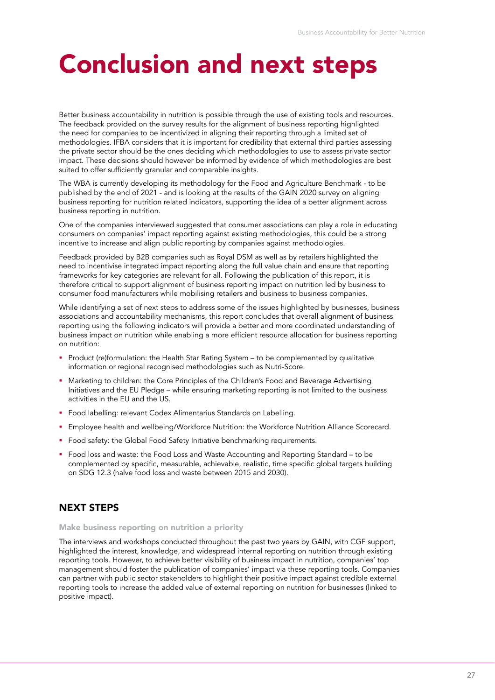# Conclusion and next steps

Better business accountability in nutrition is possible through the use of existing tools and resources. The feedback provided on the survey results for the alignment of business reporting highlighted the need for companies to be incentivized in aligning their reporting through a limited set of methodologies. IFBA considers that it is important for credibility that external third parties assessing the private sector should be the ones deciding which methodologies to use to assess private sector impact. These decisions should however be informed by evidence of which methodologies are best suited to offer sufficiently granular and comparable insights.

The WBA is currently developing its methodology for the Food and Agriculture Benchmark - to be published by the end of 2021 - and is looking at the results of the GAIN 2020 survey on aligning business reporting for nutrition related indicators, supporting the idea of a better alignment across business reporting in nutrition.

One of the companies interviewed suggested that consumer associations can play a role in educating consumers on companies' impact reporting against existing methodologies, this could be a strong incentive to increase and align public reporting by companies against methodologies.

Feedback provided by B2B companies such as Royal DSM as well as by retailers highlighted the need to incentivise integrated impact reporting along the full value chain and ensure that reporting frameworks for key categories are relevant for all. Following the publication of this report, it is therefore critical to support alignment of business reporting impact on nutrition led by business to consumer food manufacturers while mobilising retailers and business to business companies.

While identifying a set of next steps to address some of the issues highlighted by businesses, business associations and accountability mechanisms, this report concludes that overall alignment of business reporting using the following indicators will provide a better and more coordinated understanding of business impact on nutrition while enabling a more efficient resource allocation for business reporting on nutrition:

- **Product (re)formulation: the Health Star Rating System to be complemented by qualitative** information or regional recognised methodologies such as Nutri-Score.
- **Marketing to children: the Core Principles of the Children's Food and Beverage Advertising** Initiatives and the EU Pledge – while ensuring marketing reporting is not limited to the business activities in the EU and the US.
- **Food labelling: relevant Codex Alimentarius Standards on Labelling.**
- Employee health and wellbeing/Workforce Nutrition: the Workforce Nutrition Alliance Scorecard.
- **Food safety: the Global Food Safety Initiative benchmarking requirements.**
- Food loss and waste: the Food Loss and Waste Accounting and Reporting Standard to be complemented by specific, measurable, achievable, realistic, time specific global targets building on SDG 12.3 (halve food loss and waste between 2015 and 2030).

## NEXT STEPS

#### Make business reporting on nutrition a priority

The interviews and workshops conducted throughout the past two years by GAIN, with CGF support, highlighted the interest, knowledge, and widespread internal reporting on nutrition through existing reporting tools. However, to achieve better visibility of business impact in nutrition, companies' top management should foster the publication of companies' impact via these reporting tools. Companies can partner with public sector stakeholders to highlight their positive impact against credible external reporting tools to increase the added value of external reporting on nutrition for businesses (linked to positive impact).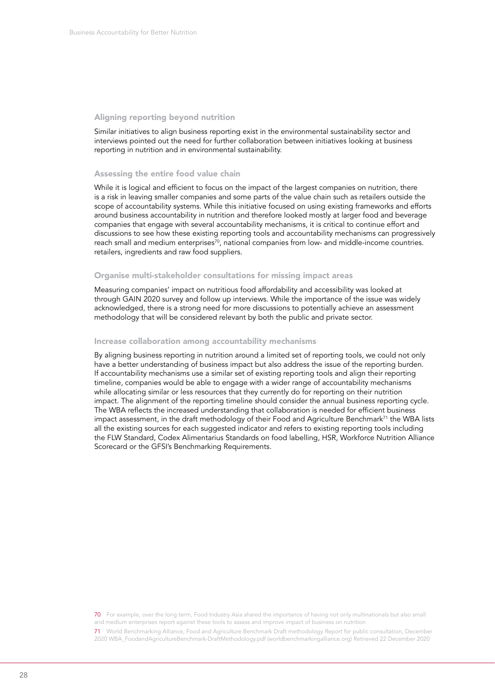#### Aligning reporting beyond nutrition

Similar initiatives to align business reporting exist in the environmental sustainability sector and interviews pointed out the need for further collaboration between initiatives looking at business reporting in nutrition and in environmental sustainability.

#### Assessing the entire food value chain

While it is logical and efficient to focus on the impact of the largest companies on nutrition, there is a risk in leaving smaller companies and some parts of the value chain such as retailers outside the scope of accountability systems. While this initiative focused on using existing frameworks and efforts around business accountability in nutrition and therefore looked mostly at larger food and beverage companies that engage with several accountability mechanisms, it is critical to continue effort and discussions to see how these existing reporting tools and accountability mechanisms can progressively reach small and medium enterprises<sup>70</sup>, national companies from low- and middle-income countries. retailers, ingredients and raw food suppliers.

#### Organise multi-stakeholder consultations for missing impact areas

Measuring companies' impact on nutritious food affordability and accessibility was looked at through GAIN 2020 survey and follow up interviews. While the importance of the issue was widely acknowledged, there is a strong need for more discussions to potentially achieve an assessment methodology that will be considered relevant by both the public and private sector.

#### Increase collaboration among accountability mechanisms

By aligning business reporting in nutrition around a limited set of reporting tools, we could not only have a better understanding of business impact but also address the issue of the reporting burden. If accountability mechanisms use a similar set of existing reporting tools and align their reporting timeline, companies would be able to engage with a wider range of accountability mechanisms while allocating similar or less resources that they currently do for reporting on their nutrition impact. The alignment of the reporting timeline should consider the annual business reporting cycle. The WBA reflects the increased understanding that collaboration is needed for efficient business impact assessment, in the draft methodology of their Food and Agriculture Benchmark<sup>71</sup> the WBA lists all the existing sources for each suggested indicator and refers to existing reporting tools including the FLW Standard, Codex Alimentarius Standards on food labelling, HSR, Workforce Nutrition Alliance Scorecard or the GFSI's Benchmarking Requirements.

70 For example, over the long term, Food Industry Asia shared the importance of having not only multinationals but also small and medium enterprises report against these tools to assess and improve impact of business on nutrition

71 World Benchmarking Alliance, Food and Agriculture Benchmark Draft methodology Report for public consultation, December 2020 [WBA\\_FoodandAgricultureBenchmark-DraftMethodology.pdf \(worldbenchmarkingalliance.org\)](https://assets.worldbenchmarkingalliance.org/app/uploads/2020/12/WBA_FoodandAgricultureBenchmark-DraftMethodology.pdf) Retrieved 22 December 2020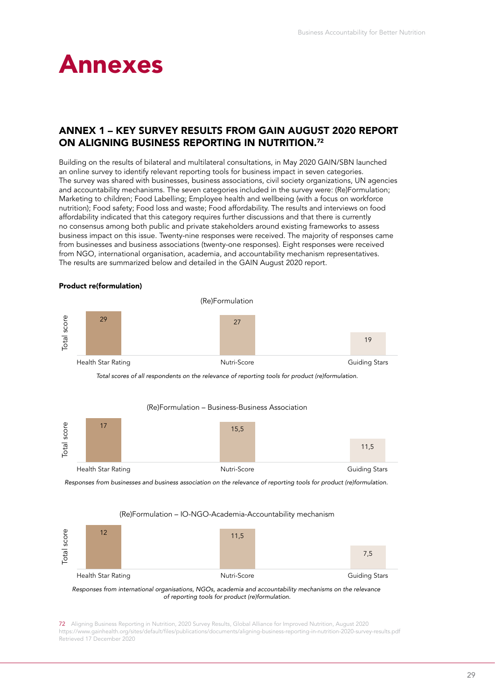## Annexes

## ANNEX 1 – KEY SURVEY RESULTS FROM GAIN AUGUST 2020 REPORT ON ALIGNING BUSINESS REPORTING IN NUTRITION.<sup>72</sup>

Building on the results of bilateral and multilateral consultations, in May 2020 GAIN/SBN launched an online survey to identify relevant reporting tools for business impact in seven categories. The survey was shared with businesses, business associations, civil society organizations, UN agencies and accountability mechanisms. The seven categories included in the survey were: (Re)Formulation; Marketing to children; Food Labelling; Employee health and wellbeing (with a focus on workforce nutrition); Food safety; Food loss and waste; Food affordability. The results and interviews on food affordability indicated that this category requires further discussions and that there is currently no consensus among both public and private stakeholders around existing frameworks to assess business impact on this issue. Twenty-nine responses were received. The majority of responses came from businesses and business associations (twenty-one responses). Eight responses were received from NGO, international organisation, academia, and accountability mechanism representatives. The results are summarized below and detailed in the GAIN August 2020 report.

#### Product re(formulation)



*Total scores of all respondents on the relevance of reporting tools for product (re)formulation.*

#### (Re)Formulation – Business-Business Association



*Responses from businesses and business association on the relevance of reporting tools for product (re)formulation.* 

(Re)Formulation – IO-NGO-Academia-Accountability mechanism

### Total score Total score  $12$  11,5 7,5 Health Star Rating Nutri-Score Guiding Stars *Responses from international organisations, NGOs, academia and accountability mechanisms on the relevance of reporting tools for product (re)formulation.*

72 Aligning Business Reporting in Nutrition, 2020 Survey Results, Global Alliance for Improved Nutrition, August 2020 <https://www.gainhealth.org/sites/default/files/publications/documents/aligning-business-reporting-in-nutrition-2020-survey-results.pdf> Retrieved 17 December 2020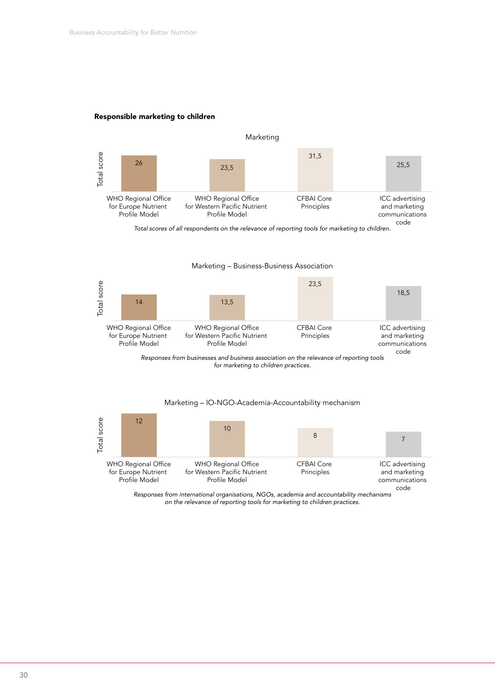Total score

Total score

WHO Regional Office for Europe Nutrient

#### Responsible marketing to children



*Total scores of all respondents on the relevance of reporting tools for marketing to children.*



for Western Pacific Nutrient

Marketing – Business-Business Association

Profile Model Profile Model communications code *Responses from businesses and business association on the relevance of reporting tools* 

Principles

and marketing

*for marketing to children practices.* 



*Responses from international organisations, NGOs, academia and accountability mechanisms on the relevance of reporting tools for marketing to children practices.*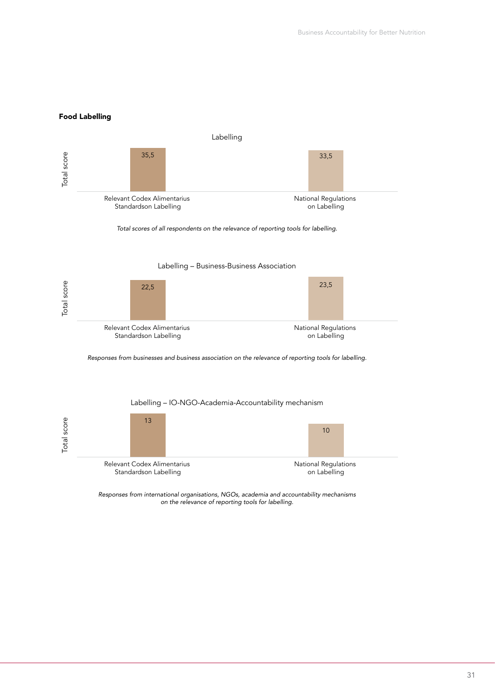#### Food Labelling





*Responses from businesses and business association on the relevance of reporting tools for labelling.* 





*Responses from international organisations, NGOs, academia and accountability mechanisms on the relevance of reporting tools for labelling.*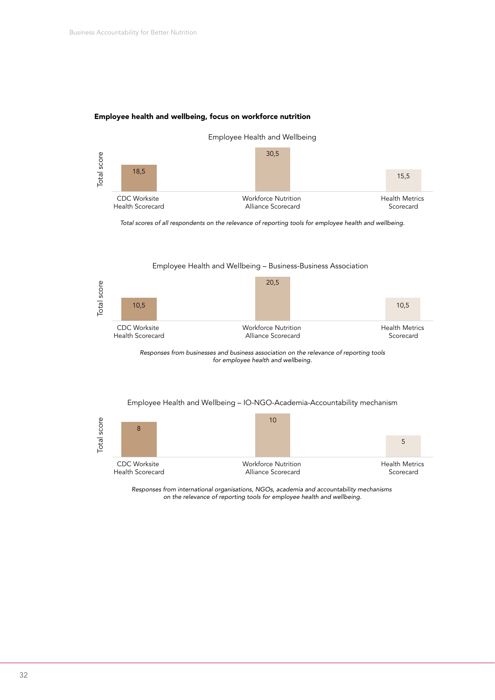#### Employee health and wellbeing, focus on workforce nutrition

Employee Health and Wellbeing



*Total scores of all respondents on the relevance of reporting tools for employee health and wellbeing.*



*Responses from businesses and business association on the relevance of reporting tools for employee health and wellbeing.* 

#### Employee Health and Wellbeing – IO-NGO-Academia-Accountability mechanism



*Responses from international organisations, NGOs, academia and accountability mechanisms on the relevance of reporting tools for employee health and wellbeing.*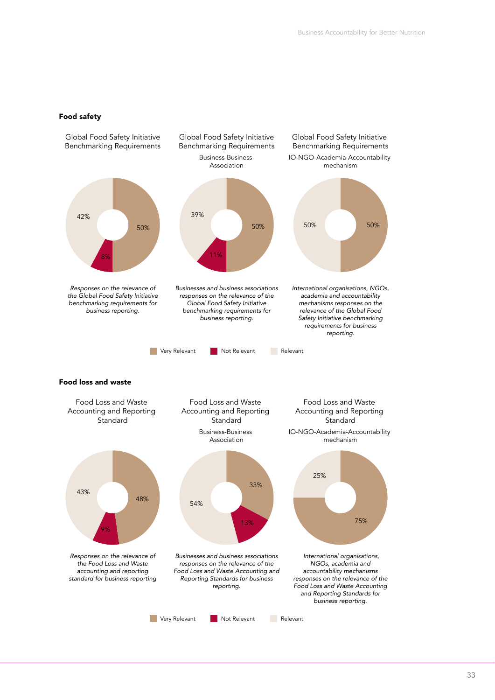#### Food safety

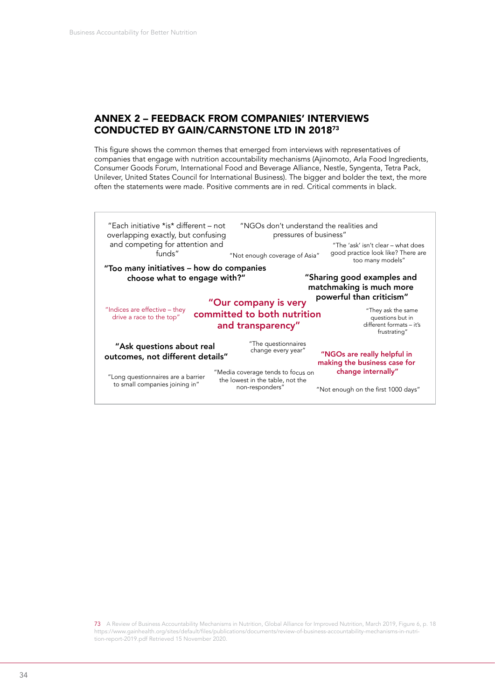## ANNEX 2 – FEEDBACK FROM COMPANIES' INTERVIEWS CONDUCTED BY GAIN/CARNSTONE LTD IN 201873

This figure shows the common themes that emerged from interviews with representatives of companies that engage with nutrition accountability mechanisms (Ajinomoto, Arla Food Ingredients, Consumer Goods Forum, International Food and Beverage Alliance, Nestle, Syngenta, Tetra Pack, Unilever, United States Council for International Business). The bigger and bolder the text, the more often the statements were made. Positive comments are in red. Critical comments in black.



73 A Review of Business Accountability Mechanisms in Nutrition, Global Alliance for Improved Nutrition, March 2019, Figure 6, p. 18 [https://www.gainhealth.org/sites/default/files/publications/documents/review-of-business-accountability-mechanisms-in-nutri](https://www.gainhealth.org/sites/default/files/publications/documents/review-of-business-accountability-mechanisms-in-nutrition-report-2019.pdf)[tion-report-2019.pdf](https://www.gainhealth.org/sites/default/files/publications/documents/review-of-business-accountability-mechanisms-in-nutrition-report-2019.pdf) Retrieved 15 November 2020.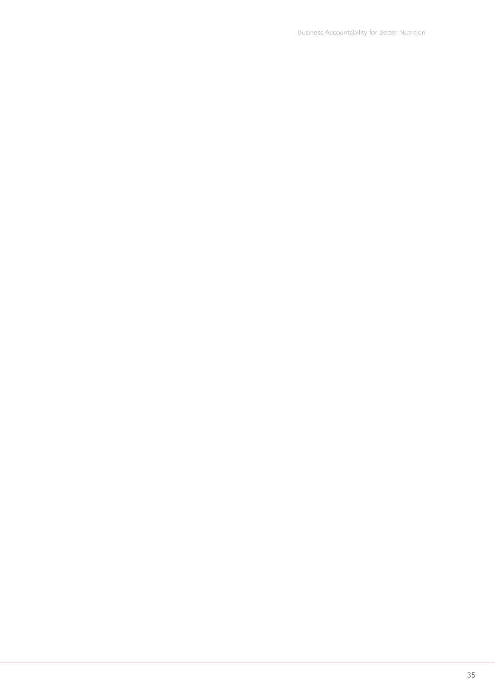Business Accountability for Better Nutrition